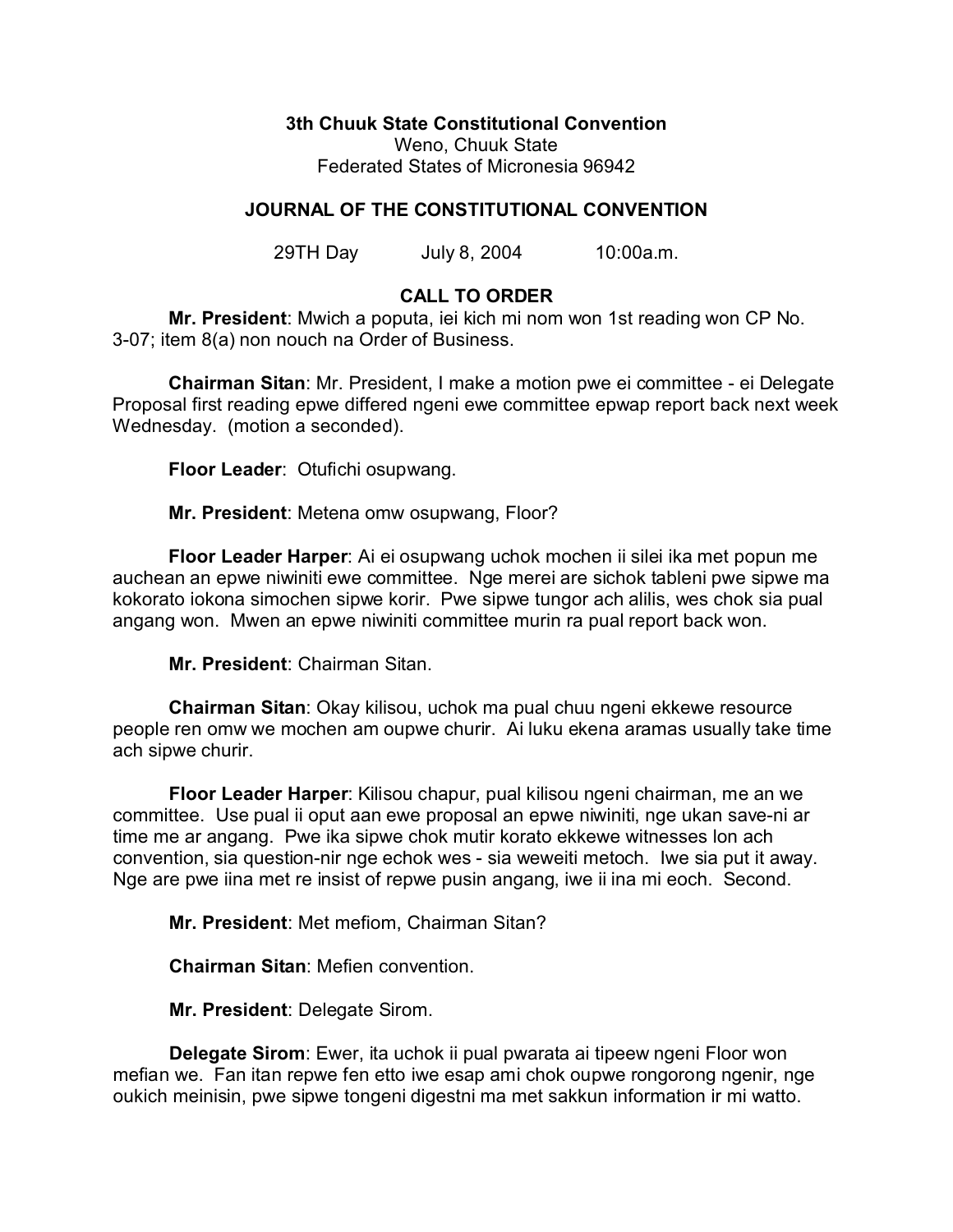**3th Chuuk State Constitutional Convention**

Weno, Chuuk State Federated States of Micronesia 96942

# **JOURNAL OF THE CONSTITUTIONAL CONVENTION**

29TH Day July 8, 2004 10:00a.m.

### **CALL TO ORDER**

**Mr. President**: Mwich a poputa, iei kich mi nom won 1st reading won CP No. 3-07; item 8(a) non nouch na Order of Business.

**Chairman Sitan**: Mr. President, I make a motion pwe ei committee - ei Delegate Proposal first reading epwe differed ngeni ewe committee epwap report back next week Wednesday. (motion a seconded).

**Floor Leader**: Otufichi osupwang.

**Mr. President**: Metena omw osupwang, Floor?

**Floor Leader Harper**: Ai ei osupwang uchok mochen ii silei ika met popun me auchean an epwe niwiniti ewe committee. Nge merei are sichok tableni pwe sipwe ma kokorato iokona simochen sipwe korir. Pwe sipwe tungor ach alilis, wes chok sia pual angang won. Mwen an epwe niwiniti committee murin ra pual report back won.

**Mr. President**: Chairman Sitan.

**Chairman Sitan**: Okay kilisou, uchok ma pual chuu ngeni ekkewe resource people ren omw we mochen am oupwe churir. Ai luku ekena aramas usually take time ach sipwe churir.

**Floor Leader Harper**: Kilisou chapur, pual kilisou ngeni chairman, me an we committee. Use pual ii oput aan ewe proposal an epwe niwiniti, nge ukan save-ni ar time me ar angang. Pwe ika sipwe chok mutir korato ekkewe witnesses lon ach convention, sia question-nir nge echok wes - sia weweiti metoch. Iwe sia put it away. Nge are pwe iina met re insist of repwe pusin angang, iwe ii ina mi eoch. Second.

**Mr. President**: Met mefiom, Chairman Sitan?

**Chairman Sitan**: Mefien convention.

**Mr. President**: Delegate Sirom.

**Delegate Sirom**: Ewer, ita uchok ii pual pwarata ai tipeew ngeni Floor won mefian we. Fan itan repwe fen etto iwe esap ami chok oupwe rongorong ngenir, nge oukich meinisin, pwe sipwe tongeni digestni ma met sakkun information ir mi watto.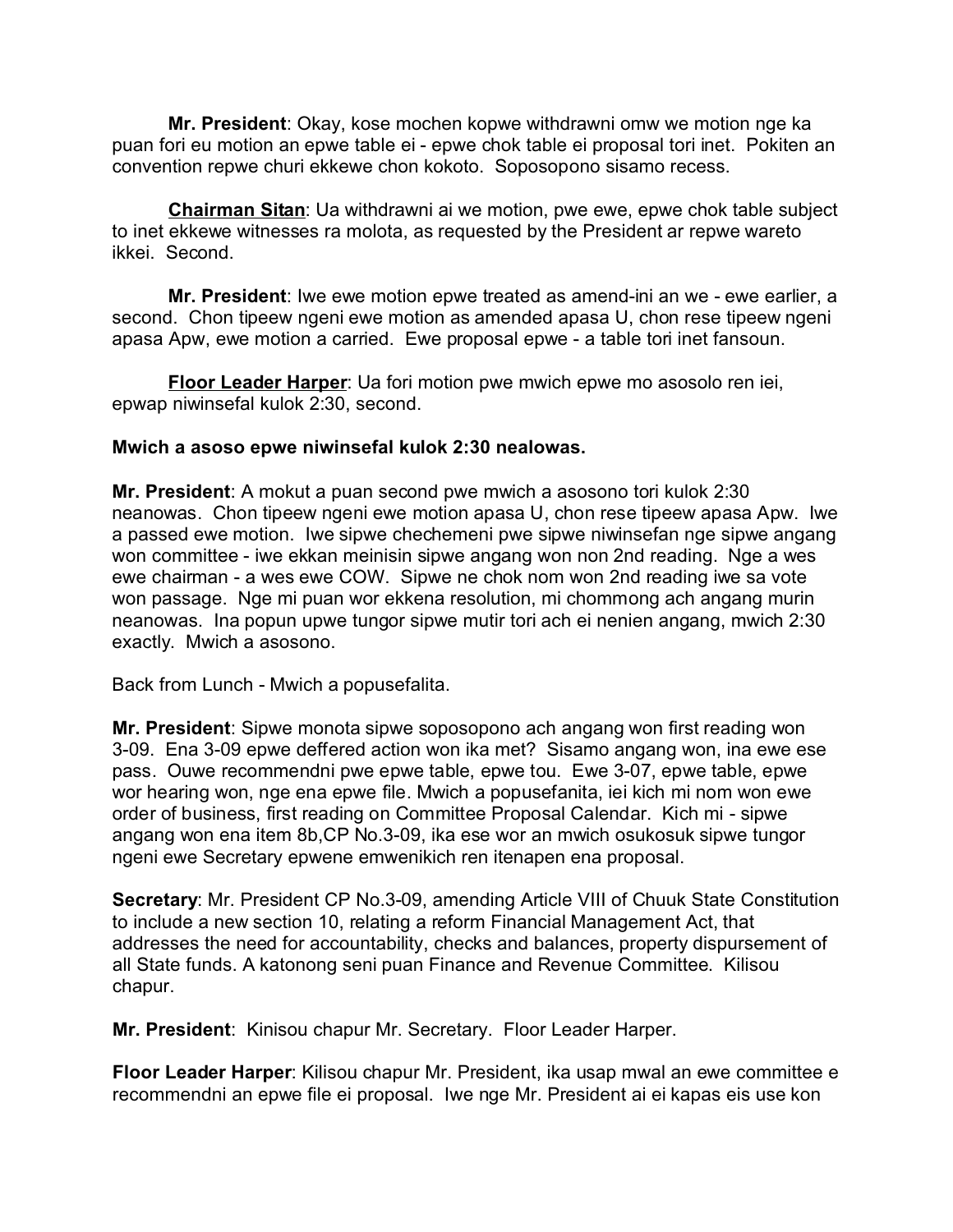**Mr. President**: Okay, kose mochen kopwe withdrawni omw we motion nge ka puan fori eu motion an epwe table ei - epwe chok table ei proposal tori inet. Pokiten an convention repwe churi ekkewe chon kokoto. Soposopono sisamo recess.

**Chairman Sitan**: Ua withdrawni ai we motion, pwe ewe, epwe chok table subject to inet ekkewe witnesses ra molota, as requested by the President ar repwe wareto ikkei. Second.

**Mr. President**: Iwe ewe motion epwe treated as amend-ini an we - ewe earlier, a second. Chon tipeew ngeni ewe motion as amended apasa U, chon rese tipeew ngeni apasa Apw, ewe motion a carried. Ewe proposal epwe - a table tori inet fansoun.

**Floor Leader Harper**: Ua fori motion pwe mwich epwe mo asosolo ren iei, epwap niwinsefal kulok 2:30, second.

### **Mwich a asoso epwe niwinsefal kulok 2:30 nealowas.**

**Mr. President**: A mokut a puan second pwe mwich a asosono tori kulok 2:30 neanowas. Chon tipeew ngeni ewe motion apasa U, chon rese tipeew apasa Apw. Iwe a passed ewe motion. Iwe sipwe chechemeni pwe sipwe niwinsefan nge sipwe angang won committee - iwe ekkan meinisin sipwe angang won non 2nd reading. Nge a wes ewe chairman - a wes ewe COW. Sipwe ne chok nom won 2nd reading iwe sa vote won passage. Nge mi puan wor ekkena resolution, mi chommong ach angang murin neanowas. Ina popun upwe tungor sipwe mutir tori ach ei nenien angang, mwich 2:30 exactly. Mwich a asosono.

Back from Lunch - Mwich a popusefalita.

**Mr. President**: Sipwe monota sipwe soposopono ach angang won first reading won 3-09. Ena 3-09 epwe deffered action won ika met? Sisamo angang won, ina ewe ese pass. Ouwe recommendni pwe epwe table, epwe tou. Ewe 3-07, epwe table, epwe wor hearing won, nge ena epwe file. Mwich a popusefanita, iei kich mi nom won ewe order of business, first reading on Committee Proposal Calendar. Kich mi - sipwe angang won ena item 8b,CP No.3-09, ika ese wor an mwich osukosuk sipwe tungor ngeni ewe Secretary epwene emwenikich ren itenapen ena proposal.

**Secretary**: Mr. President CP No.3-09, amending Article VIII of Chuuk State Constitution to include a new section 10, relating a reform Financial Management Act, that addresses the need for accountability, checks and balances, property dispursement of all State funds. A katonong seni puan Finance and Revenue Committee. Kilisou chapur.

**Mr. President**: Kinisou chapur Mr. Secretary. Floor Leader Harper.

**Floor Leader Harper**: Kilisou chapur Mr. President, ika usap mwal an ewe committee e recommendni an epwe file ei proposal. Iwe nge Mr. President ai ei kapas eis use kon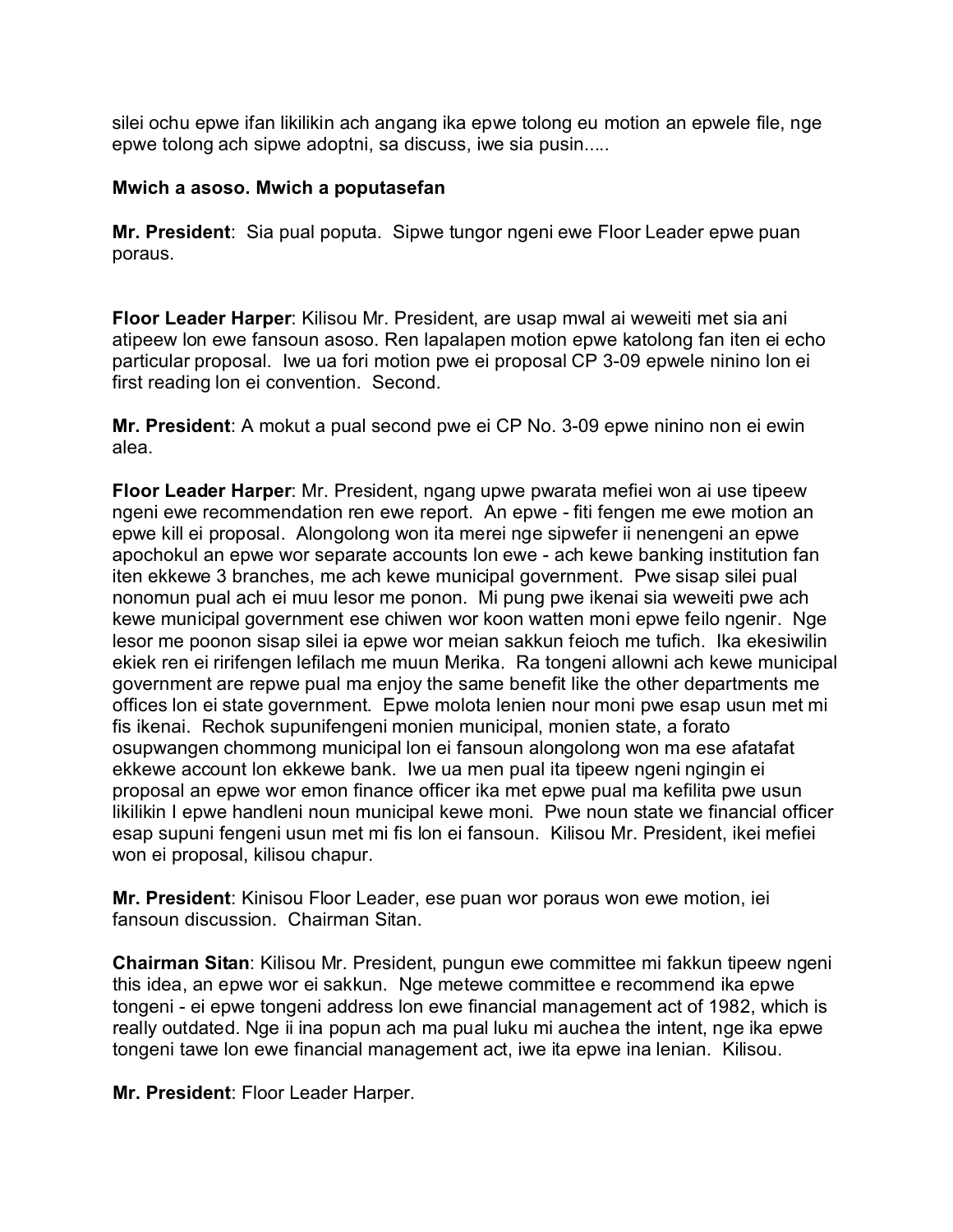silei ochu epwe ifan likilikin ach angang ika epwe tolong eu motion an epwele file, nge epwe tolong ach sipwe adoptni, sa discuss, iwe sia pusin.....

### **Mwich a asoso. Mwich a poputasefan**

**Mr. President**: Sia pual poputa. Sipwe tungor ngeni ewe Floor Leader epwe puan poraus.

**Floor Leader Harper**: Kilisou Mr. President, are usap mwal ai weweiti met sia ani atipeew lon ewe fansoun asoso. Ren lapalapen motion epwe katolong fan iten ei echo particular proposal. Iwe ua fori motion pwe ei proposal CP 3-09 epwele ninino lon ei first reading lon ei convention. Second.

**Mr. President**: A mokut a pual second pwe ei CP No. 3-09 epwe ninino non ei ewin alea.

**Floor Leader Harper**: Mr. President, ngang upwe pwarata mefiei won ai use tipeew ngeni ewe recommendation ren ewe report. An epwe - fiti fengen me ewe motion an epwe kill ei proposal. Alongolong won ita merei nge sipwefer ii nenengeni an epwe apochokul an epwe wor separate accounts lon ewe - ach kewe banking institution fan iten ekkewe 3 branches, me ach kewe municipal government. Pwe sisap silei pual nonomun pual ach ei muu lesor me ponon. Mi pung pwe ikenai sia weweiti pwe ach kewe municipal government ese chiwen wor koon watten moni epwe feilo ngenir. Nge lesor me poonon sisap silei ia epwe wor meian sakkun feioch me tufich. Ika ekesiwilin ekiek ren ei ririfengen lefilach me muun Merika. Ra tongeni allowni ach kewe municipal government are repwe pual ma enjoy the same benefit like the other departments me offices lon ei state government. Epwe molota lenien nour moni pwe esap usun met mi fis ikenai. Rechok supunifengeni monien municipal, monien state, a forato osupwangen chommong municipal lon ei fansoun alongolong won ma ese afatafat ekkewe account lon ekkewe bank. Iwe ua men pual ita tipeew ngeni ngingin ei proposal an epwe wor emon finance officer ika met epwe pual ma kefilita pwe usun likilikin I epwe handleni noun municipal kewe moni. Pwe noun state we financial officer esap supuni fengeni usun met mi fis lon ei fansoun. Kilisou Mr. President, ikei mefiei won ei proposal, kilisou chapur.

**Mr. President**: Kinisou Floor Leader, ese puan wor poraus won ewe motion, iei fansoun discussion. Chairman Sitan.

**Chairman Sitan**: Kilisou Mr. President, pungun ewe committee mi fakkun tipeew ngeni this idea, an epwe wor ei sakkun. Nge metewe committee e recommend ika epwe tongeni - ei epwe tongeni address lon ewe financial management act of 1982, which is really outdated. Nge ii ina popun ach ma pual luku mi auchea the intent, nge ika epwe tongeni tawe lon ewe financial management act, iwe ita epwe ina lenian. Kilisou.

**Mr. President**: Floor Leader Harper.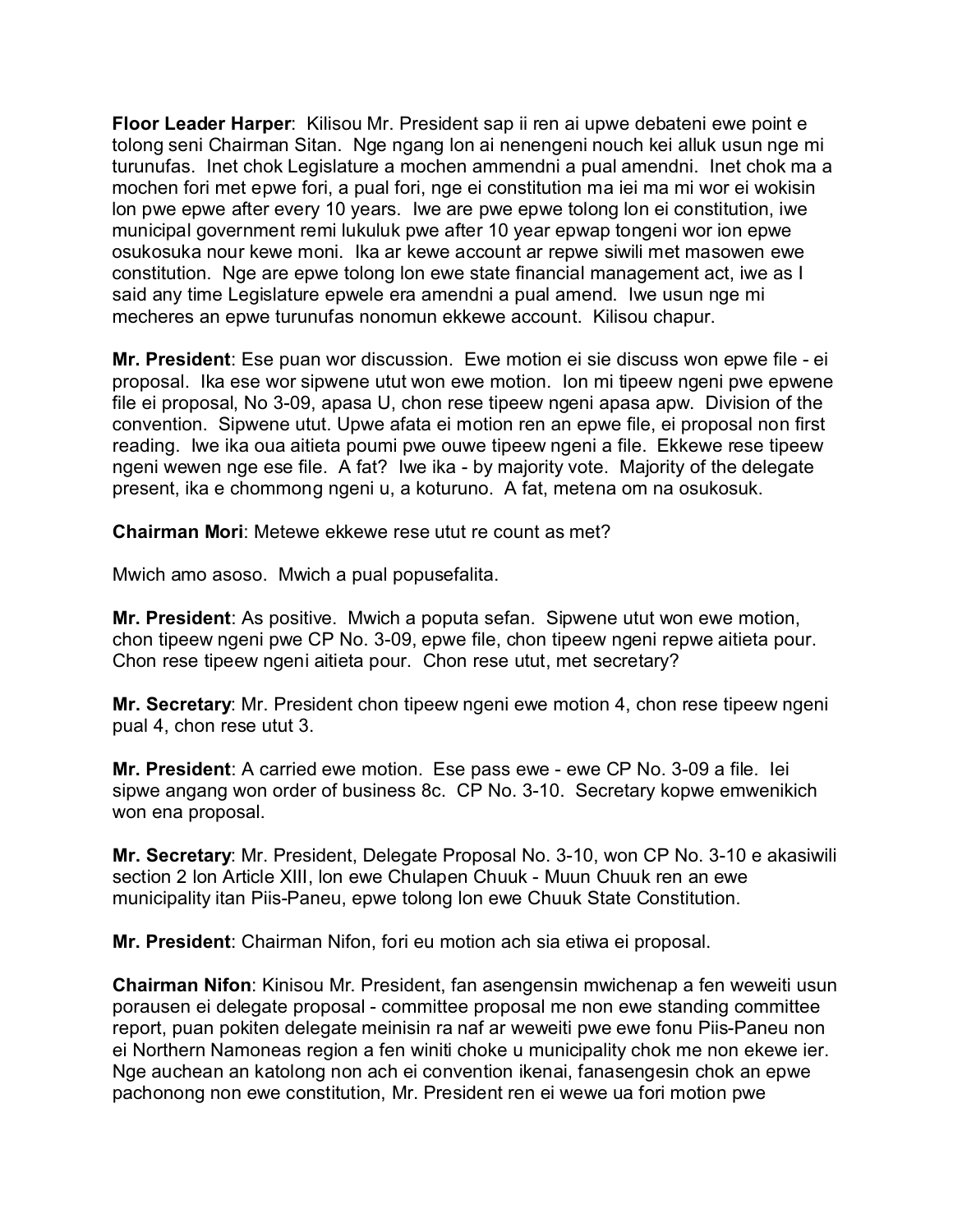**Floor Leader Harper**: Kilisou Mr. President sap ii ren ai upwe debateni ewe point e tolong seni Chairman Sitan. Nge ngang lon ai nenengeni nouch kei alluk usun nge mi turunufas. Inet chok Legislature a mochen ammendni a pual amendni. Inet chok ma a mochen fori met epwe fori, a pual fori, nge ei constitution ma iei ma mi wor ei wokisin lon pwe epwe after every 10 years. Iwe are pwe epwe tolong lon ei constitution, iwe municipal government remi lukuluk pwe after 10 year epwap tongeni wor ion epwe osukosuka nour kewe moni. Ika ar kewe account ar repwe siwili met masowen ewe constitution. Nge are epwe tolong lon ewe state financial management act, iwe as I said any time Legislature epwele era amendni a pual amend. Iwe usun nge mi mecheres an epwe turunufas nonomun ekkewe account. Kilisou chapur.

**Mr. President**: Ese puan wor discussion. Ewe motion ei sie discuss won epwe file - ei proposal. Ika ese wor sipwene utut won ewe motion. Ion mi tipeew ngeni pwe epwene file ei proposal, No 3-09, apasa U, chon rese tipeew ngeni apasa apw. Division of the convention. Sipwene utut. Upwe afata ei motion ren an epwe file, ei proposal non first reading. Iwe ika oua aitieta poumi pwe ouwe tipeew ngeni a file. Ekkewe rese tipeew ngeni wewen nge ese file. A fat? Iwe ika - by majority vote. Majority of the delegate present, ika e chommong ngeni u, a koturuno. A fat, metena om na osukosuk.

**Chairman Mori**: Metewe ekkewe rese utut re count as met?

Mwich amo asoso. Mwich a pual popusefalita.

**Mr. President**: As positive. Mwich a poputa sefan. Sipwene utut won ewe motion, chon tipeew ngeni pwe CP No. 3-09, epwe file, chon tipeew ngeni repwe aitieta pour. Chon rese tipeew ngeni aitieta pour. Chon rese utut, met secretary?

**Mr. Secretary**: Mr. President chon tipeew ngeni ewe motion 4, chon rese tipeew ngeni pual 4, chon rese utut 3.

**Mr. President**: A carried ewe motion. Ese pass ewe - ewe CP No. 3-09 a file. Iei sipwe angang won order of business 8c. CP No. 3-10. Secretary kopwe emwenikich won ena proposal.

**Mr. Secretary**: Mr. President, Delegate Proposal No. 3-10, won CP No. 3-10 e akasiwili section 2 lon Article XIII, lon ewe Chulapen Chuuk - Muun Chuuk ren an ewe municipality itan Piis-Paneu, epwe tolong lon ewe Chuuk State Constitution.

**Mr. President**: Chairman Nifon, fori eu motion ach sia etiwa ei proposal.

**Chairman Nifon**: Kinisou Mr. President, fan asengensin mwichenap a fen weweiti usun porausen ei delegate proposal - committee proposal me non ewe standing committee report, puan pokiten delegate meinisin ra naf ar weweiti pwe ewe fonu Piis-Paneu non ei Northern Namoneas region a fen winiti choke u municipality chok me non ekewe ier. Nge auchean an katolong non ach ei convention ikenai, fanasengesin chok an epwe pachonong non ewe constitution, Mr. President ren ei wewe ua fori motion pwe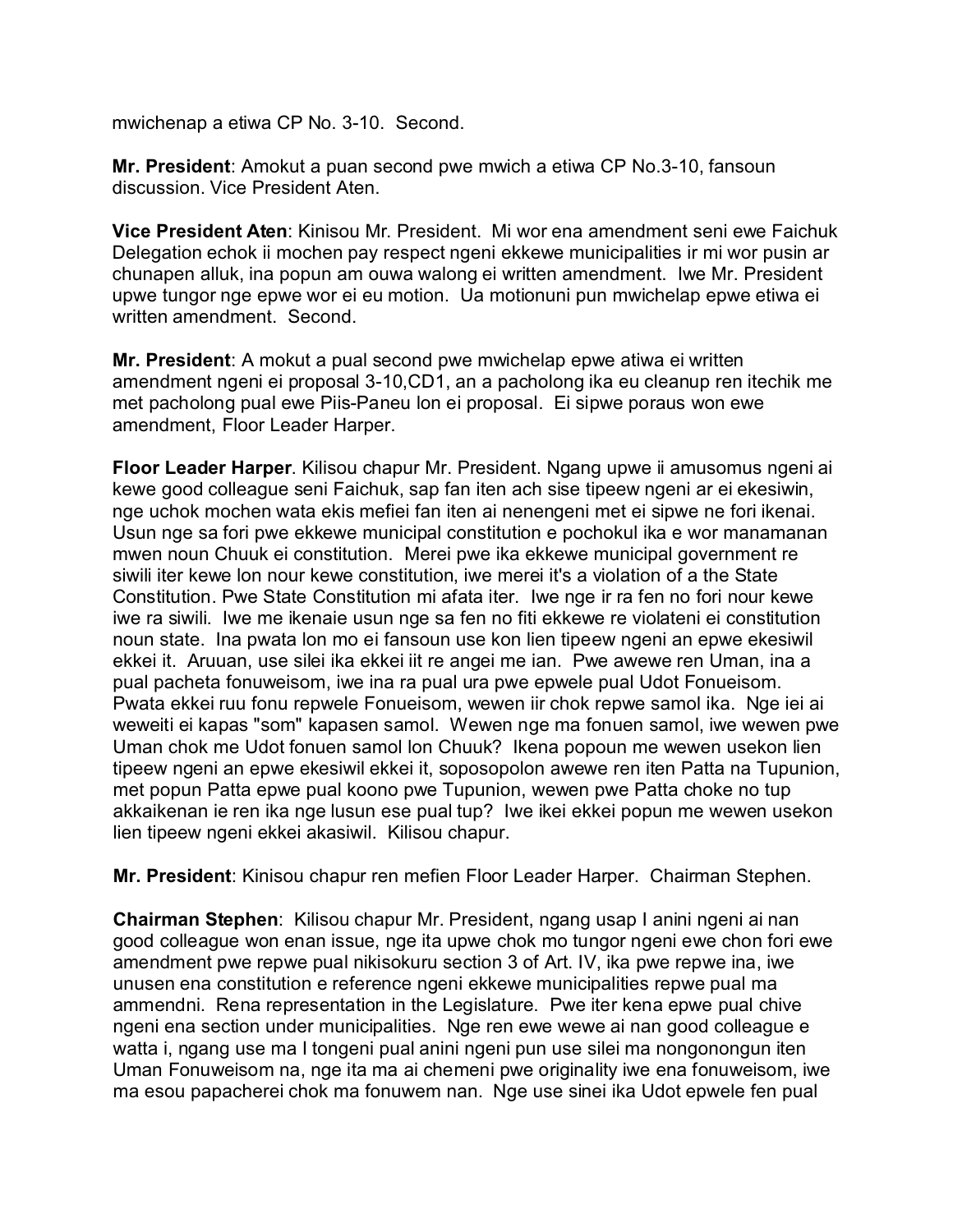mwichenap a etiwa CP No. 3-10. Second.

**Mr. President**: Amokut a puan second pwe mwich a etiwa CP No.3-10, fansoun discussion. Vice President Aten.

**Vice President Aten**: Kinisou Mr. President. Mi wor ena amendment seni ewe Faichuk Delegation echok ii mochen pay respect ngeni ekkewe municipalities ir mi wor pusin ar chunapen alluk, ina popun am ouwa walong ei written amendment. Iwe Mr. President upwe tungor nge epwe wor ei eu motion. Ua motionuni pun mwichelap epwe etiwa ei written amendment. Second.

**Mr. President**: A mokut a pual second pwe mwichelap epwe atiwa ei written amendment ngeni ei proposal 3-10,CD1, an a pacholong ika eu cleanup ren itechik me met pacholong pual ewe Piis-Paneu lon ei proposal. Ei sipwe poraus won ewe amendment, Floor Leader Harper.

**Floor Leader Harper**. Kilisou chapur Mr. President. Ngang upwe ii amusomus ngeni ai kewe good colleague seni Faichuk, sap fan iten ach sise tipeew ngeni ar ei ekesiwin, nge uchok mochen wata ekis mefiei fan iten ai nenengeni met ei sipwe ne fori ikenai. Usun nge sa fori pwe ekkewe municipal constitution e pochokul ika e wor manamanan mwen noun Chuuk ei constitution. Merei pwe ika ekkewe municipal government re siwili iter kewe lon nour kewe constitution, iwe merei it's a violation of a the State Constitution. Pwe State Constitution mi afata iter. Iwe nge ir ra fen no fori nour kewe iwe ra siwili. Iwe me ikenaie usun nge sa fen no fiti ekkewe re violateni ei constitution noun state. Ina pwata lon mo ei fansoun use kon lien tipeew ngeni an epwe ekesiwil ekkei it. Aruuan, use silei ika ekkei iit re angei me ian. Pwe awewe ren Uman, ina a pual pacheta fonuweisom, iwe ina ra pual ura pwe epwele pual Udot Fonueisom. Pwata ekkei ruu fonu repwele Fonueisom, wewen iir chok repwe samol ika. Nge iei ai weweiti ei kapas "som" kapasen samol. Wewen nge ma fonuen samol, iwe wewen pwe Uman chok me Udot fonuen samol lon Chuuk? Ikena popoun me wewen usekon lien tipeew ngeni an epwe ekesiwil ekkei it, soposopolon awewe ren iten Patta na Tupunion, met popun Patta epwe pual koono pwe Tupunion, wewen pwe Patta choke no tup akkaikenan ie ren ika nge lusun ese pual tup? Iwe ikei ekkei popun me wewen usekon lien tipeew ngeni ekkei akasiwil. Kilisou chapur.

**Mr. President**: Kinisou chapur ren mefien Floor Leader Harper. Chairman Stephen.

**Chairman Stephen**: Kilisou chapur Mr. President, ngang usap I anini ngeni ai nan good colleague won enan issue, nge ita upwe chok mo tungor ngeni ewe chon fori ewe amendment pwe repwe pual nikisokuru section 3 of Art. IV, ika pwe repwe ina, iwe unusen ena constitution e reference ngeni ekkewe municipalities repwe pual ma ammendni. Rena representation in the Legislature. Pwe iter kena epwe pual chive ngeni ena section under municipalities. Nge ren ewe wewe ai nan good colleague e watta i, ngang use ma I tongeni pual anini ngeni pun use silei ma nongonongun iten Uman Fonuweisom na, nge ita ma ai chemeni pwe originality iwe ena fonuweisom, iwe ma esou papacherei chok ma fonuwem nan. Nge use sinei ika Udot epwele fen pual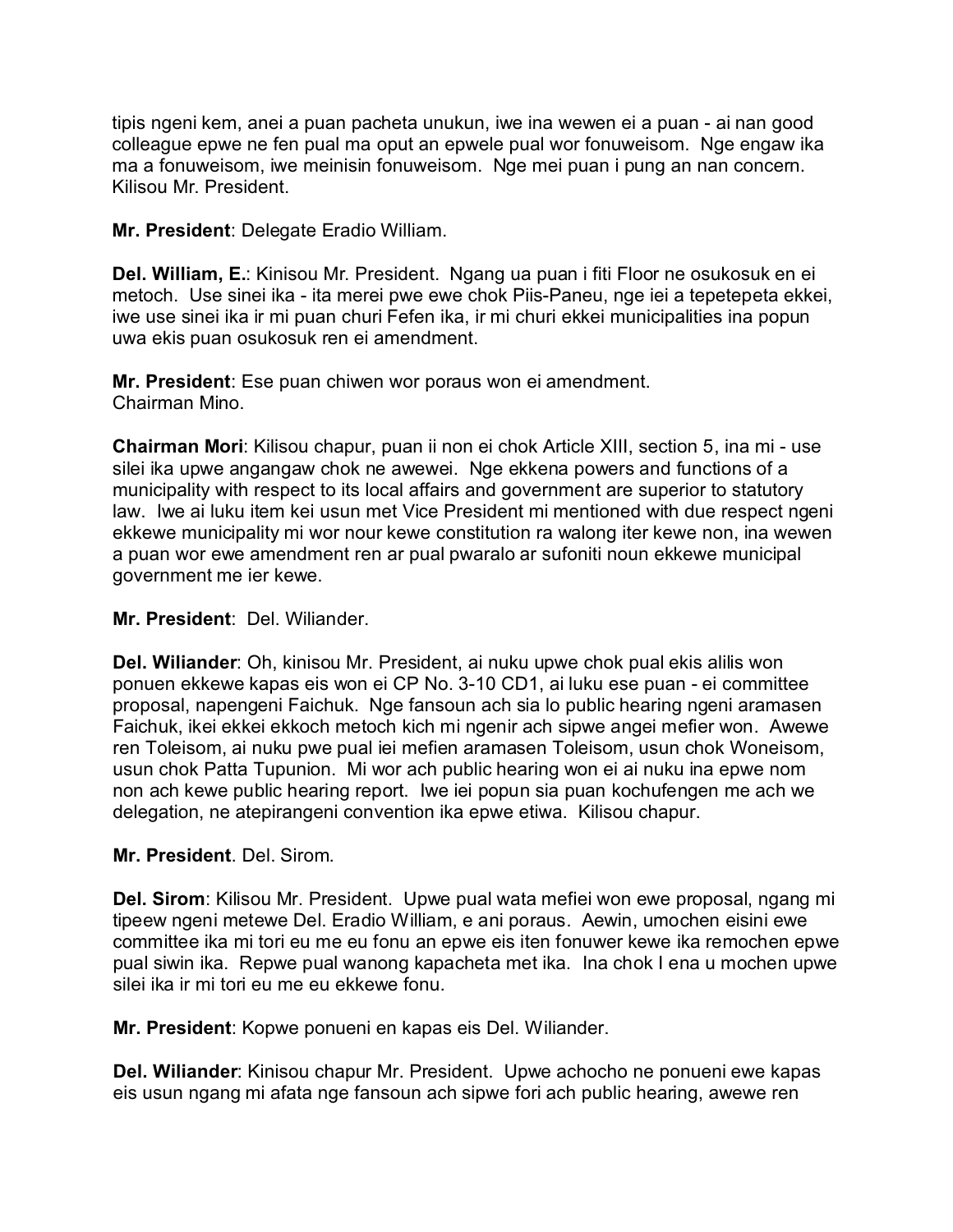tipis ngeni kem, anei a puan pacheta unukun, iwe ina wewen ei a puan - ai nan good colleague epwe ne fen pual ma oput an epwele pual wor fonuweisom. Nge engaw ika ma a fonuweisom, iwe meinisin fonuweisom. Nge mei puan i pung an nan concern. Kilisou Mr. President.

**Mr. President**: Delegate Eradio William.

**Del. William, E.**: Kinisou Mr. President. Ngang ua puan i fiti Floor ne osukosuk en ei metoch. Use sinei ika - ita merei pwe ewe chok Piis-Paneu, nge iei a tepetepeta ekkei, iwe use sinei ika ir mi puan churi Fefen ika, ir mi churi ekkei municipalities ina popun uwa ekis puan osukosuk ren ei amendment.

**Mr. President**: Ese puan chiwen wor poraus won ei amendment. Chairman Mino.

**Chairman Mori**: Kilisou chapur, puan ii non ei chok Article XIII, section 5, ina mi - use silei ika upwe angangaw chok ne awewei. Nge ekkena powers and functions of a municipality with respect to its local affairs and government are superior to statutory law. Iwe ai luku item kei usun met Vice President mi mentioned with due respect ngeni ekkewe municipality mi wor nour kewe constitution ra walong iter kewe non, ina wewen a puan wor ewe amendment ren ar pual pwaralo ar sufoniti noun ekkewe municipal government me ier kewe.

#### **Mr. President**: Del. Wiliander.

**Del. Wiliander**: Oh, kinisou Mr. President, ai nuku upwe chok pual ekis alilis won ponuen ekkewe kapas eis won ei CP No. 3-10 CD1, ai luku ese puan - ei committee proposal, napengeni Faichuk. Nge fansoun ach sia lo public hearing ngeni aramasen Faichuk, ikei ekkei ekkoch metoch kich mi ngenir ach sipwe angei mefier won. Awewe ren Toleisom, ai nuku pwe pual iei mefien aramasen Toleisom, usun chok Woneisom, usun chok Patta Tupunion. Mi wor ach public hearing won ei ai nuku ina epwe nom non ach kewe public hearing report. Iwe iei popun sia puan kochufengen me ach we delegation, ne atepirangeni convention ika epwe etiwa. Kilisou chapur.

# **Mr. President**. Del. Sirom.

**Del. Sirom**: Kilisou Mr. President. Upwe pual wata mefiei won ewe proposal, ngang mi tipeew ngeni metewe Del. Eradio William, e ani poraus. Aewin, umochen eisini ewe committee ika mi tori eu me eu fonu an epwe eis iten fonuwer kewe ika remochen epwe pual siwin ika. Repwe pual wanong kapacheta met ika. Ina chok I ena u mochen upwe silei ika ir mi tori eu me eu ekkewe fonu.

**Mr. President**: Kopwe ponueni en kapas eis Del. Wiliander.

**Del. Wiliander**: Kinisou chapur Mr. President. Upwe achocho ne ponueni ewe kapas eis usun ngang mi afata nge fansoun ach sipwe fori ach public hearing, awewe ren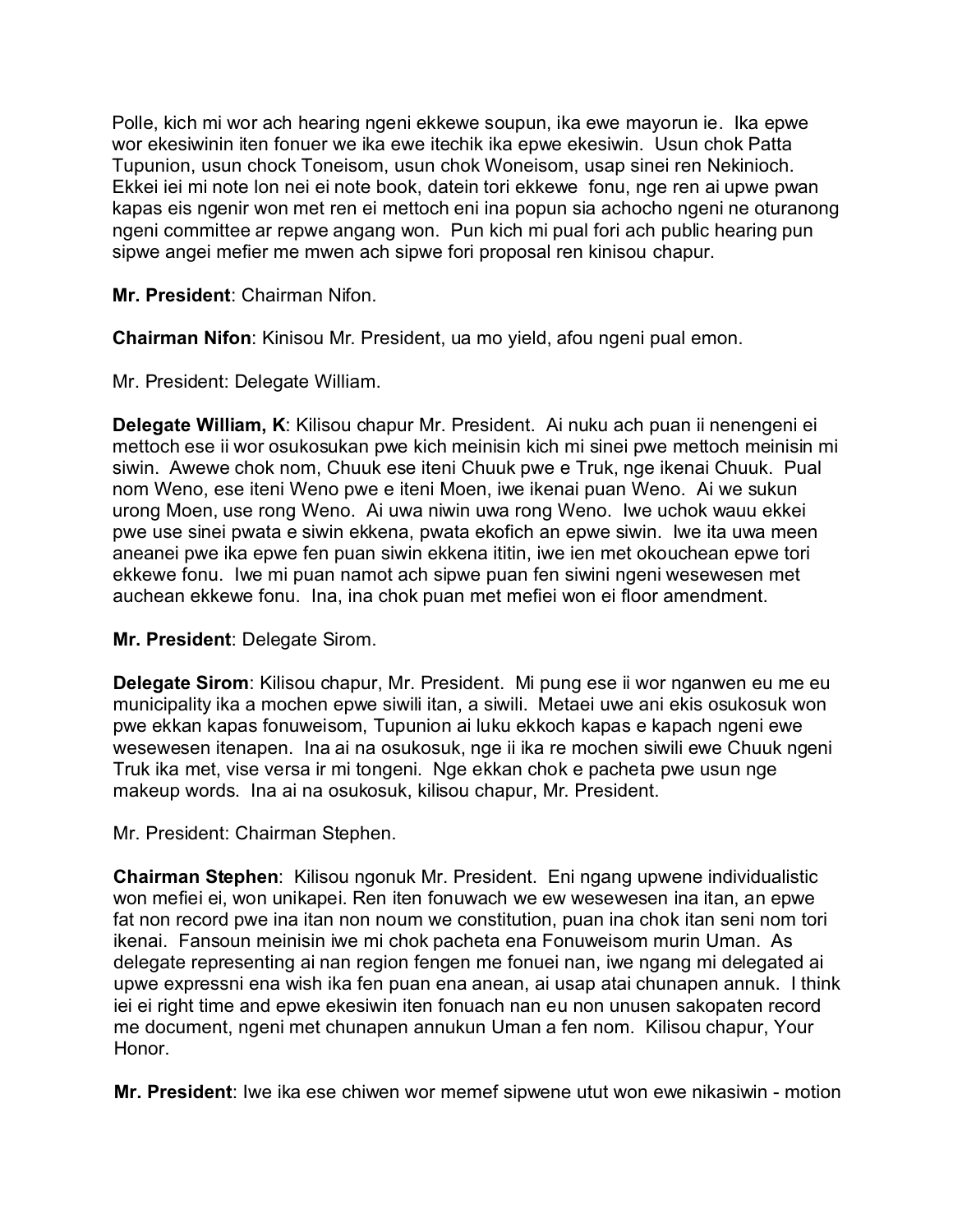Polle, kich mi wor ach hearing ngeni ekkewe soupun, ika ewe mayorun ie. Ika epwe wor ekesiwinin iten fonuer we ika ewe itechik ika epwe ekesiwin. Usun chok Patta Tupunion, usun chock Toneisom, usun chok Woneisom, usap sinei ren Nekinioch. Ekkei iei mi note lon nei ei note book, datein tori ekkewe fonu, nge ren ai upwe pwan kapas eis ngenir won met ren ei mettoch eni ina popun sia achocho ngeni ne oturanong ngeni committee ar repwe angang won. Pun kich mi pual fori ach public hearing pun sipwe angei mefier me mwen ach sipwe fori proposal ren kinisou chapur.

**Mr. President**: Chairman Nifon.

**Chairman Nifon**: Kinisou Mr. President, ua mo yield, afou ngeni pual emon.

Mr. President: Delegate William.

**Delegate William, K**: Kilisou chapur Mr. President. Ai nuku ach puan ii nenengeni ei mettoch ese ii wor osukosukan pwe kich meinisin kich mi sinei pwe mettoch meinisin mi siwin. Awewe chok nom, Chuuk ese iteni Chuuk pwe e Truk, nge ikenai Chuuk. Pual nom Weno, ese iteni Weno pwe e iteni Moen, iwe ikenai puan Weno. Ai we sukun urong Moen, use rong Weno. Ai uwa niwin uwa rong Weno. Iwe uchok wauu ekkei pwe use sinei pwata e siwin ekkena, pwata ekofich an epwe siwin. Iwe ita uwa meen aneanei pwe ika epwe fen puan siwin ekkena ititin, iwe ien met okouchean epwe tori ekkewe fonu. Iwe mi puan namot ach sipwe puan fen siwini ngeni wesewesen met auchean ekkewe fonu. Ina, ina chok puan met mefiei won ei floor amendment.

**Mr. President**: Delegate Sirom.

**Delegate Sirom**: Kilisou chapur, Mr. President. Mi pung ese ii wor nganwen eu me eu municipality ika a mochen epwe siwili itan, a siwili. Metaei uwe ani ekis osukosuk won pwe ekkan kapas fonuweisom, Tupunion ai luku ekkoch kapas e kapach ngeni ewe wesewesen itenapen. Ina ai na osukosuk, nge ii ika re mochen siwili ewe Chuuk ngeni Truk ika met, vise versa ir mi tongeni. Nge ekkan chok e pacheta pwe usun nge makeup words. Ina ai na osukosuk, kilisou chapur, Mr. President.

Mr. President: Chairman Stephen.

**Chairman Stephen**: Kilisou ngonuk Mr. President. Eni ngang upwene individualistic won mefiei ei, won unikapei. Ren iten fonuwach we ew wesewesen ina itan, an epwe fat non record pwe ina itan non noum we constitution, puan ina chok itan seni nom tori ikenai. Fansoun meinisin iwe mi chok pacheta ena Fonuweisom murin Uman. As delegate representing ai nan region fengen me fonuei nan, iwe ngang mi delegated ai upwe expressni ena wish ika fen puan ena anean, ai usap atai chunapen annuk. I think iei ei right time and epwe ekesiwin iten fonuach nan eu non unusen sakopaten record me document, ngeni met chunapen annukun Uman a fen nom. Kilisou chapur, Your Honor.

**Mr. President**: Iwe ika ese chiwen wor memef sipwene utut won ewe nikasiwin - motion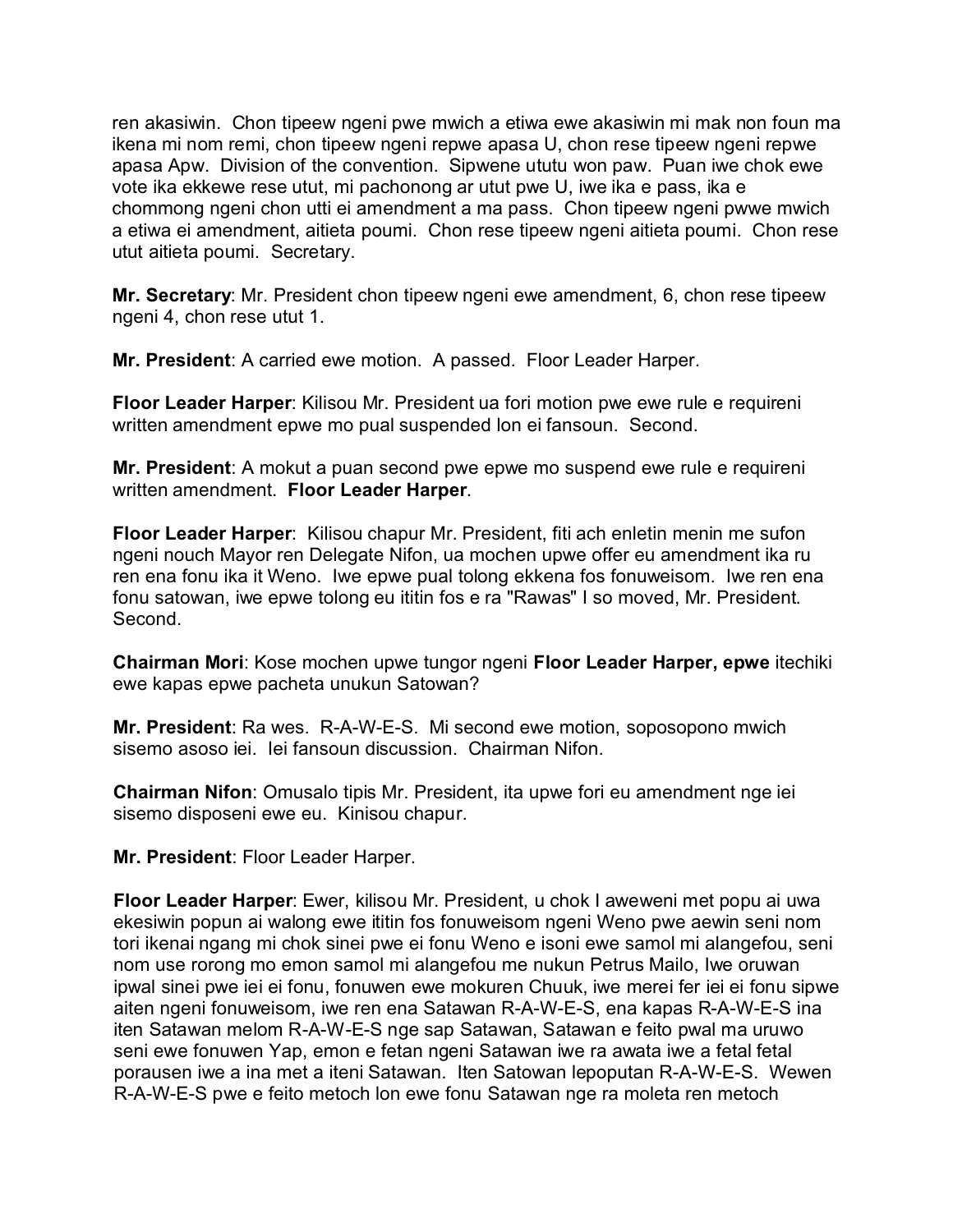ren akasiwin. Chon tipeew ngeni pwe mwich a etiwa ewe akasiwin mi mak non foun ma ikena mi nom remi, chon tipeew ngeni repwe apasa U, chon rese tipeew ngeni repwe apasa Apw. Division of the convention. Sipwene ututu won paw. Puan iwe chok ewe vote ika ekkewe rese utut, mi pachonong ar utut pwe U, iwe ika e pass, ika e chommong ngeni chon utti ei amendment a ma pass. Chon tipeew ngeni pwwe mwich a etiwa ei amendment, aitieta poumi. Chon rese tipeew ngeni aitieta poumi. Chon rese utut aitieta poumi. Secretary.

**Mr. Secretary**: Mr. President chon tipeew ngeni ewe amendment, 6, chon rese tipeew ngeni 4, chon rese utut 1.

**Mr. President**: A carried ewe motion. A passed. Floor Leader Harper.

**Floor Leader Harper**: Kilisou Mr. President ua fori motion pwe ewe rule e requireni written amendment epwe mo pual suspended lon ei fansoun. Second.

**Mr. President**: A mokut a puan second pwe epwe mo suspend ewe rule e requireni written amendment. **Floor Leader Harper**.

**Floor Leader Harper**: Kilisou chapur Mr. President, fiti ach enletin menin me sufon ngeni nouch Mayor ren Delegate Nifon, ua mochen upwe offer eu amendment ika ru ren ena fonu ika it Weno. Iwe epwe pual tolong ekkena fos fonuweisom. Iwe ren ena fonu satowan, iwe epwe tolong eu ititin fos e ra "Rawas" I so moved, Mr. President. Second.

**Chairman Mori**: Kose mochen upwe tungor ngeni **Floor Leader Harper, epwe** itechiki ewe kapas epwe pacheta unukun Satowan?

**Mr. President**: Ra wes. R-A-W-E-S. Mi second ewe motion, soposopono mwich sisemo asoso iei. Iei fansoun discussion. Chairman Nifon.

**Chairman Nifon**: Omusalo tipis Mr. President, ita upwe fori eu amendment nge iei sisemo disposeni ewe eu. Kinisou chapur.

**Mr. President**: Floor Leader Harper.

**Floor Leader Harper**: Ewer, kilisou Mr. President, u chok I aweweni met popu ai uwa ekesiwin popun ai walong ewe ititin fos fonuweisom ngeni Weno pwe aewin seni nom tori ikenai ngang mi chok sinei pwe ei fonu Weno e isoni ewe samol mi alangefou, seni nom use rorong mo emon samol mi alangefou me nukun Petrus Mailo, Iwe oruwan ipwal sinei pwe iei ei fonu, fonuwen ewe mokuren Chuuk, iwe merei fer iei ei fonu sipwe aiten ngeni fonuweisom, iwe ren ena Satawan R-A-W-E-S, ena kapas R-A-W-E-S ina iten Satawan melom R-A-W-E-S nge sap Satawan, Satawan e feito pwal ma uruwo seni ewe fonuwen Yap, emon e fetan ngeni Satawan iwe ra awata iwe a fetal fetal porausen iwe a ina met a iteni Satawan. Iten Satowan lepoputan R-A-W-E-S. Wewen R-A-W-E-S pwe e feito metoch lon ewe fonu Satawan nge ra moleta ren metoch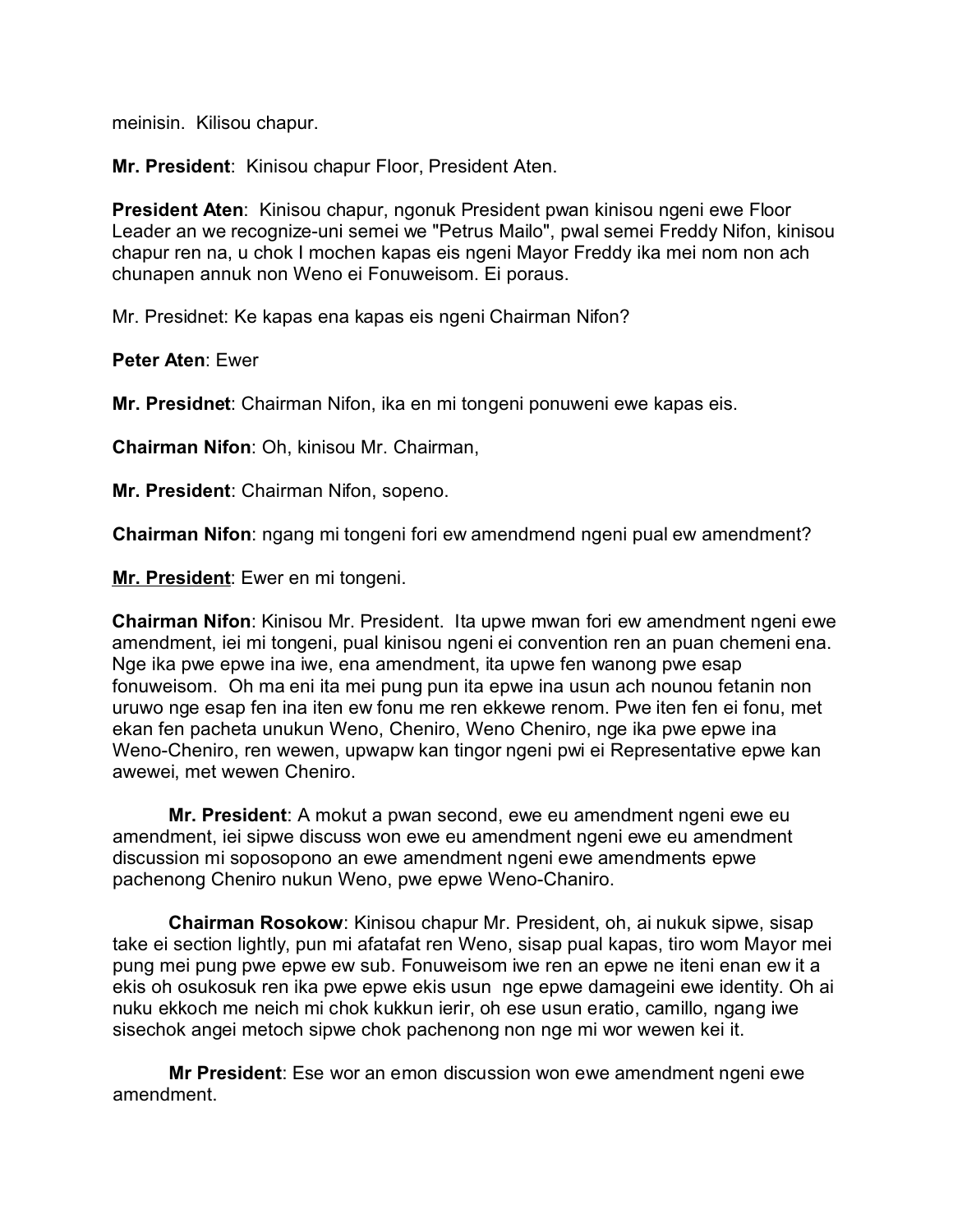meinisin. Kilisou chapur.

**Mr. President**: Kinisou chapur Floor, President Aten.

**President Aten**: Kinisou chapur, ngonuk President pwan kinisou ngeni ewe Floor Leader an we recognize-uni semei we "Petrus Mailo", pwal semei Freddy Nifon, kinisou chapur ren na, u chok I mochen kapas eis ngeni Mayor Freddy ika mei nom non ach chunapen annuk non Weno ei Fonuweisom. Ei poraus.

Mr. Presidnet: Ke kapas ena kapas eis ngeni Chairman Nifon?

**Peter Aten**: Ewer

**Mr. Presidnet**: Chairman Nifon, ika en mi tongeni ponuweni ewe kapas eis.

**Chairman Nifon**: Oh, kinisou Mr. Chairman,

**Mr. President**: Chairman Nifon, sopeno.

**Chairman Nifon**: ngang mi tongeni fori ew amendmend ngeni pual ew amendment?

**Mr. President**: Ewer en mi tongeni.

**Chairman Nifon**: Kinisou Mr. President. Ita upwe mwan fori ew amendment ngeni ewe amendment, iei mi tongeni, pual kinisou ngeni ei convention ren an puan chemeni ena. Nge ika pwe epwe ina iwe, ena amendment, ita upwe fen wanong pwe esap fonuweisom. Oh ma eni ita mei pung pun ita epwe ina usun ach nounou fetanin non uruwo nge esap fen ina iten ew fonu me ren ekkewe renom. Pwe iten fen ei fonu, met ekan fen pacheta unukun Weno, Cheniro, Weno Cheniro, nge ika pwe epwe ina Weno-Cheniro, ren wewen, upwapw kan tingor ngeni pwi ei Representative epwe kan awewei, met wewen Cheniro.

**Mr. President**: A mokut a pwan second, ewe eu amendment ngeni ewe eu amendment, iei sipwe discuss won ewe eu amendment ngeni ewe eu amendment discussion mi soposopono an ewe amendment ngeni ewe amendments epwe pachenong Cheniro nukun Weno, pwe epwe Weno-Chaniro.

**Chairman Rosokow**: Kinisou chapur Mr. President, oh, ai nukuk sipwe, sisap take ei section lightly, pun mi afatafat ren Weno, sisap pual kapas, tiro wom Mayor mei pung mei pung pwe epwe ew sub. Fonuweisom iwe ren an epwe ne iteni enan ew it a ekis oh osukosuk ren ika pwe epwe ekis usun nge epwe damageini ewe identity. Oh ai nuku ekkoch me neich mi chok kukkun ierir, oh ese usun eratio, camillo, ngang iwe sisechok angei metoch sipwe chok pachenong non nge mi wor wewen kei it.

**Mr President**: Ese wor an emon discussion won ewe amendment ngeni ewe amendment.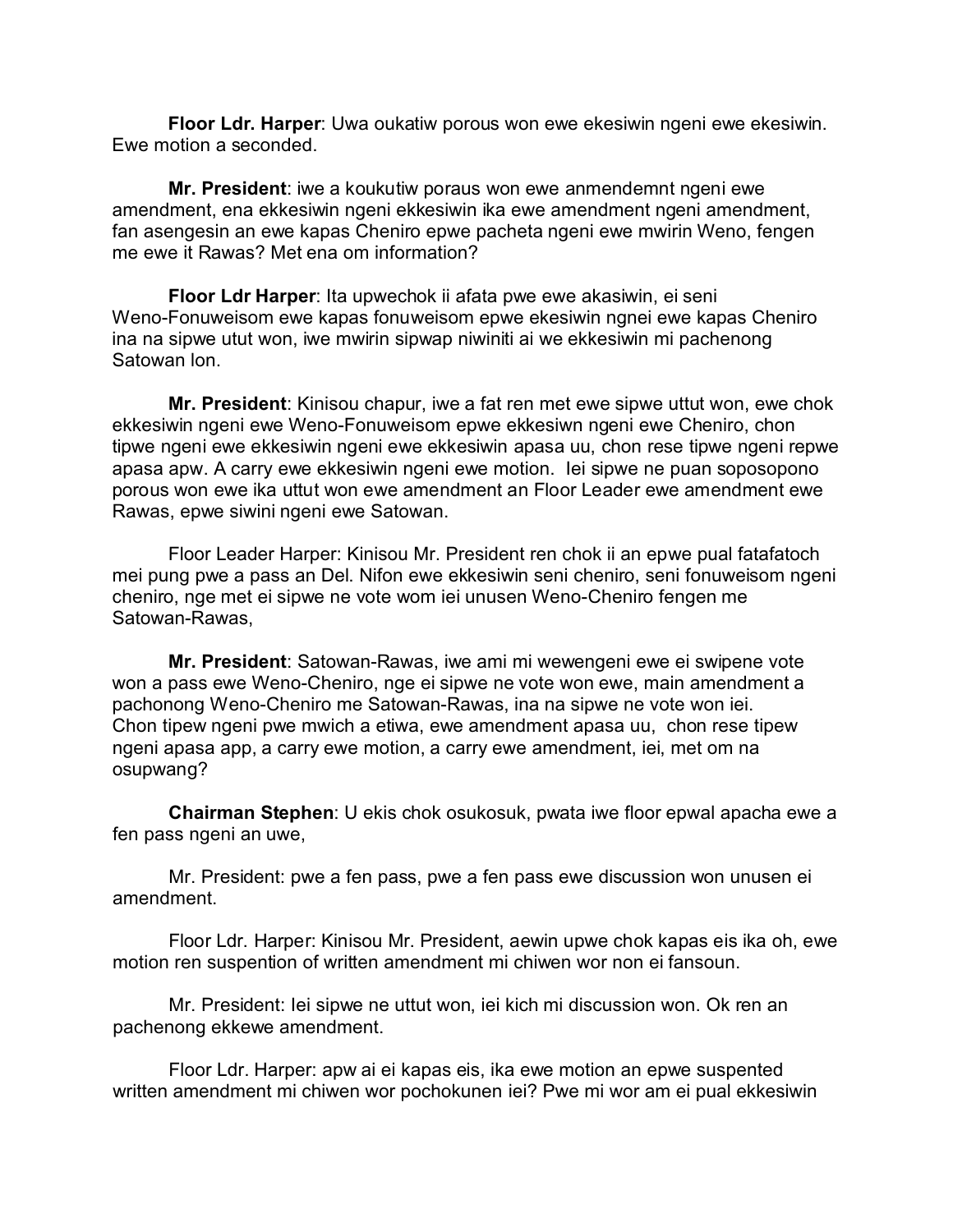**Floor Ldr. Harper**: Uwa oukatiw porous won ewe ekesiwin ngeni ewe ekesiwin. Ewe motion a seconded.

**Mr. President**: iwe a koukutiw poraus won ewe anmendemnt ngeni ewe amendment, ena ekkesiwin ngeni ekkesiwin ika ewe amendment ngeni amendment, fan asengesin an ewe kapas Cheniro epwe pacheta ngeni ewe mwirin Weno, fengen me ewe it Rawas? Met ena om information?

**Floor Ldr Harper**: Ita upwechok ii afata pwe ewe akasiwin, ei seni Weno-Fonuweisom ewe kapas fonuweisom epwe ekesiwin ngnei ewe kapas Cheniro ina na sipwe utut won, iwe mwirin sipwap niwiniti ai we ekkesiwin mi pachenong Satowan lon.

**Mr. President**: Kinisou chapur, iwe a fat ren met ewe sipwe uttut won, ewe chok ekkesiwin ngeni ewe Weno-Fonuweisom epwe ekkesiwn ngeni ewe Cheniro, chon tipwe ngeni ewe ekkesiwin ngeni ewe ekkesiwin apasa uu, chon rese tipwe ngeni repwe apasa apw. A carry ewe ekkesiwin ngeni ewe motion. Iei sipwe ne puan soposopono porous won ewe ika uttut won ewe amendment an Floor Leader ewe amendment ewe Rawas, epwe siwini ngeni ewe Satowan.

Floor Leader Harper: Kinisou Mr. President ren chok ii an epwe pual fatafatoch mei pung pwe a pass an Del. Nifon ewe ekkesiwin seni cheniro, seni fonuweisom ngeni cheniro, nge met ei sipwe ne vote wom iei unusen Weno-Cheniro fengen me Satowan-Rawas,

**Mr. President**: Satowan-Rawas, iwe ami mi wewengeni ewe ei swipene vote won a pass ewe Weno-Cheniro, nge ei sipwe ne vote won ewe, main amendment a pachonong Weno-Cheniro me Satowan-Rawas, ina na sipwe ne vote won iei. Chon tipew ngeni pwe mwich a etiwa, ewe amendment apasa uu, chon rese tipew ngeni apasa app, a carry ewe motion, a carry ewe amendment, iei, met om na osupwang?

**Chairman Stephen**: U ekis chok osukosuk, pwata iwe floor epwal apacha ewe a fen pass ngeni an uwe,

Mr. President: pwe a fen pass, pwe a fen pass ewe discussion won unusen ei amendment.

Floor Ldr. Harper: Kinisou Mr. President, aewin upwe chok kapas eis ika oh, ewe motion ren suspention of written amendment mi chiwen wor non ei fansoun.

Mr. President: Iei sipwe ne uttut won, iei kich mi discussion won. Ok ren an pachenong ekkewe amendment.

Floor Ldr. Harper: apw ai ei kapas eis, ika ewe motion an epwe suspented written amendment mi chiwen wor pochokunen iei? Pwe mi wor am ei pual ekkesiwin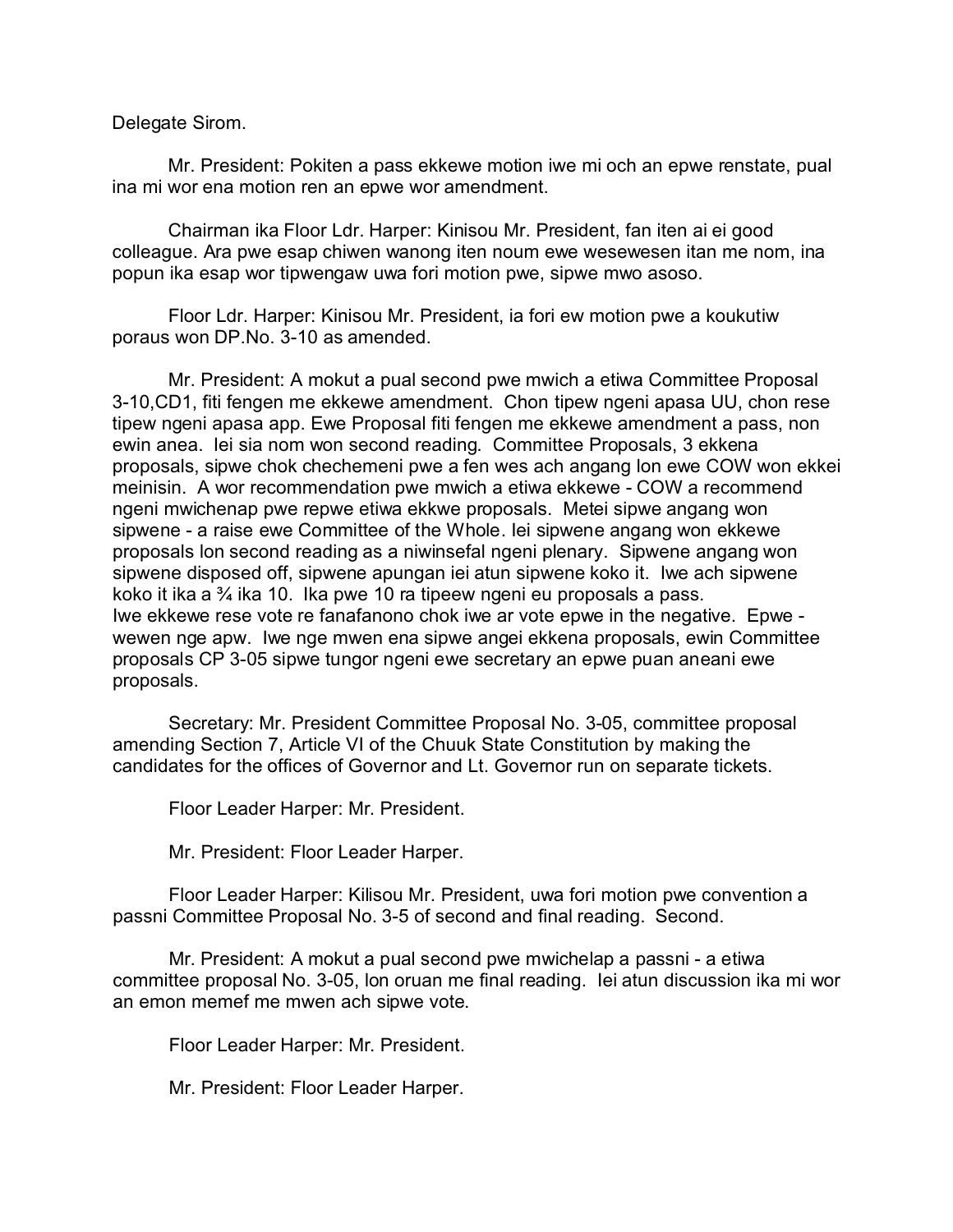Delegate Sirom.

Mr. President: Pokiten a pass ekkewe motion iwe mi och an epwe renstate, pual ina mi wor ena motion ren an epwe wor amendment.

Chairman ika Floor Ldr. Harper: Kinisou Mr. President, fan iten ai ei good colleague. Ara pwe esap chiwen wanong iten noum ewe wesewesen itan me nom, ina popun ika esap wor tipwengaw uwa fori motion pwe, sipwe mwo asoso.

Floor Ldr. Harper: Kinisou Mr. President, ia fori ew motion pwe a koukutiw poraus won DP.No. 3-10 as amended.

Mr. President: A mokut a pual second pwe mwich a etiwa Committee Proposal 3-10,CD1, fiti fengen me ekkewe amendment. Chon tipew ngeni apasa UU, chon rese tipew ngeni apasa app. Ewe Proposal fiti fengen me ekkewe amendment a pass, non ewin anea. Iei sia nom won second reading. Committee Proposals, 3 ekkena proposals, sipwe chok chechemeni pwe a fen wes ach angang lon ewe COW won ekkei meinisin. A wor recommendation pwe mwich a etiwa ekkewe - COW a recommend ngeni mwichenap pwe repwe etiwa ekkwe proposals. Metei sipwe angang won sipwene - a raise ewe Committee of the Whole. Iei sipwene angang won ekkewe proposals lon second reading as a niwinsefal ngeni plenary. Sipwene angang won sipwene disposed off, sipwene apungan iei atun sipwene koko it. Iwe ach sipwene koko it ika a ¾ ika 10. Ika pwe 10 ra tipeew ngeni eu proposals a pass. Iwe ekkewe rese vote re fanafanono chok iwe ar vote epwe in the negative. Epwe wewen nge apw. Iwe nge mwen ena sipwe angei ekkena proposals, ewin Committee proposals CP 3-05 sipwe tungor ngeni ewe secretary an epwe puan aneani ewe proposals.

Secretary: Mr. President Committee Proposal No. 3-05, committee proposal amending Section 7, Article VI of the Chuuk State Constitution by making the candidates for the offices of Governor and Lt. Governor run on separate tickets.

Floor Leader Harper: Mr. President.

Mr. President: Floor Leader Harper.

Floor Leader Harper: Kilisou Mr. President, uwa fori motion pwe convention a passni Committee Proposal No. 3-5 of second and final reading. Second.

Mr. President: A mokut a pual second pwe mwichelap a passni - a etiwa committee proposal No. 3-05, lon oruan me final reading. Iei atun discussion ika mi wor an emon memef me mwen ach sipwe vote.

Floor Leader Harper: Mr. President.

Mr. President: Floor Leader Harper.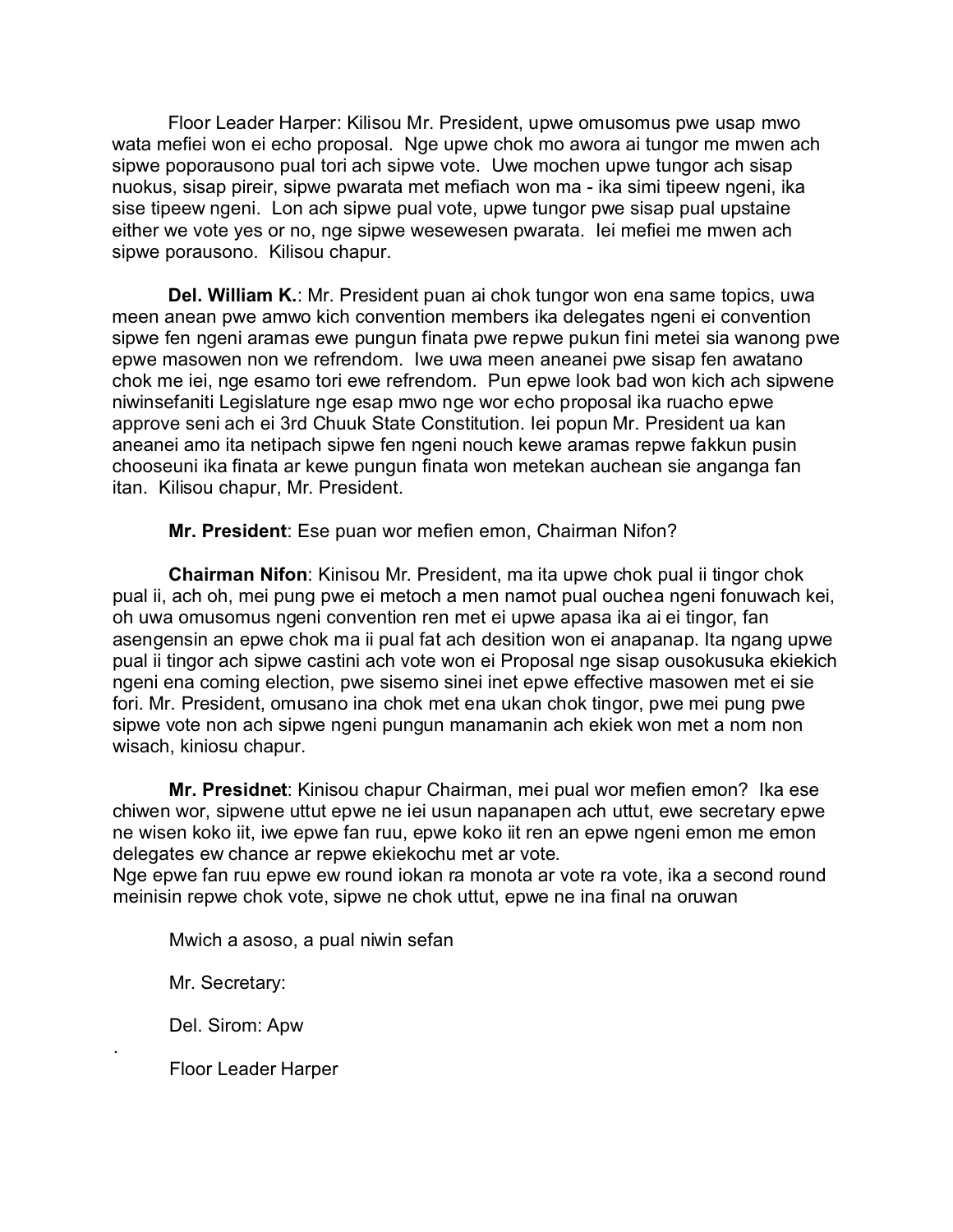Floor Leader Harper: Kilisou Mr. President, upwe omusomus pwe usap mwo wata mefiei won ei echo proposal. Nge upwe chok mo awora ai tungor me mwen ach sipwe poporausono pual tori ach sipwe vote. Uwe mochen upwe tungor ach sisap nuokus, sisap pireir, sipwe pwarata met mefiach won ma - ika simi tipeew ngeni, ika sise tipeew ngeni. Lon ach sipwe pual vote, upwe tungor pwe sisap pual upstaine either we vote yes or no, nge sipwe wesewesen pwarata. Iei mefiei me mwen ach sipwe porausono. Kilisou chapur.

**Del. William K.**: Mr. President puan ai chok tungor won ena same topics, uwa meen anean pwe amwo kich convention members ika delegates ngeni ei convention sipwe fen ngeni aramas ewe pungun finata pwe repwe pukun fini metei sia wanong pwe epwe masowen non we refrendom. Iwe uwa meen aneanei pwe sisap fen awatano chok me iei, nge esamo tori ewe refrendom. Pun epwe look bad won kich ach sipwene niwinsefaniti Legislature nge esap mwo nge wor echo proposal ika ruacho epwe approve seni ach ei 3rd Chuuk State Constitution. Iei popun Mr. President ua kan aneanei amo ita netipach sipwe fen ngeni nouch kewe aramas repwe fakkun pusin chooseuni ika finata ar kewe pungun finata won metekan auchean sie anganga fan itan. Kilisou chapur, Mr. President.

**Mr. President**: Ese puan wor mefien emon, Chairman Nifon?

**Chairman Nifon**: Kinisou Mr. President, ma ita upwe chok pual ii tingor chok pual ii, ach oh, mei pung pwe ei metoch a men namot pual ouchea ngeni fonuwach kei, oh uwa omusomus ngeni convention ren met ei upwe apasa ika ai ei tingor, fan asengensin an epwe chok ma ii pual fat ach desition won ei anapanap. Ita ngang upwe pual ii tingor ach sipwe castini ach vote won ei Proposal nge sisap ousokusuka ekiekich ngeni ena coming election, pwe sisemo sinei inet epwe effective masowen met ei sie fori. Mr. President, omusano ina chok met ena ukan chok tingor, pwe mei pung pwe sipwe vote non ach sipwe ngeni pungun manamanin ach ekiek won met a nom non wisach, kiniosu chapur.

**Mr. Presidnet**: Kinisou chapur Chairman, mei pual wor mefien emon? Ika ese chiwen wor, sipwene uttut epwe ne iei usun napanapen ach uttut, ewe secretary epwe ne wisen koko iit, iwe epwe fan ruu, epwe koko iit ren an epwe ngeni emon me emon delegates ew chance ar repwe ekiekochu met ar vote.

Nge epwe fan ruu epwe ew round iokan ra monota ar vote ra vote, ika a second round meinisin repwe chok vote, sipwe ne chok uttut, epwe ne ina final na oruwan

Mwich a asoso, a pual niwin sefan

Mr. Secretary:

.

Del. Sirom: Apw

Floor Leader Harper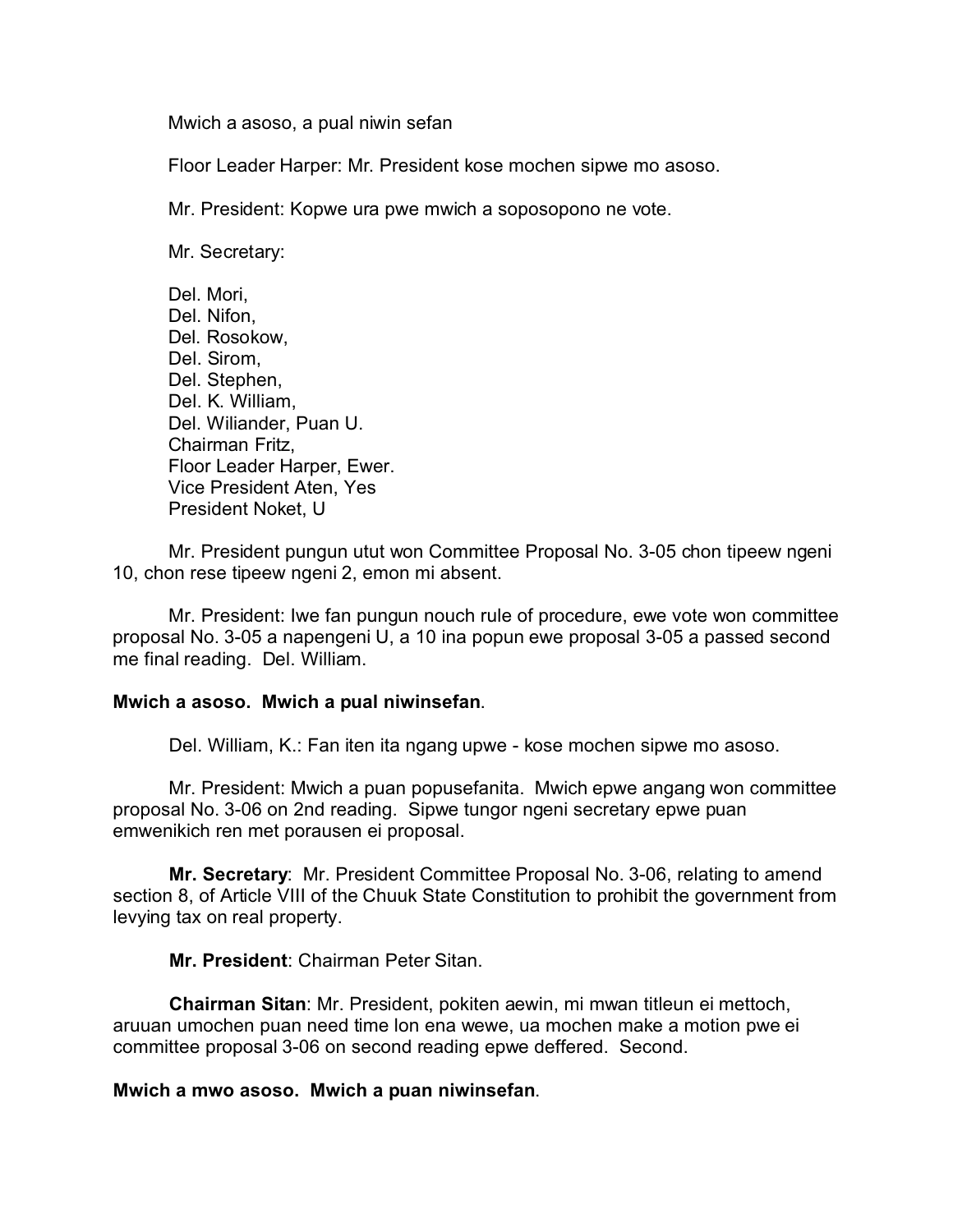Mwich a asoso, a pual niwin sefan

Floor Leader Harper: Mr. President kose mochen sipwe mo asoso.

Mr. President: Kopwe ura pwe mwich a soposopono ne vote.

Mr. Secretary:

Del. Mori, Del. Nifon, Del. Rosokow, Del. Sirom, Del. Stephen, Del. K. William, Del. Wiliander, Puan U. Chairman Fritz, Floor Leader Harper, Ewer. Vice President Aten, Yes President Noket, U

Mr. President pungun utut won Committee Proposal No. 3-05 chon tipeew ngeni 10, chon rese tipeew ngeni 2, emon mi absent.

Mr. President: Iwe fan pungun nouch rule of procedure, ewe vote won committee proposal No. 3-05 a napengeni U, a 10 ina popun ewe proposal 3-05 a passed second me final reading. Del. William.

#### **Mwich a asoso. Mwich a pual niwinsefan**.

Del. William, K.: Fan iten ita ngang upwe - kose mochen sipwe mo asoso.

Mr. President: Mwich a puan popusefanita. Mwich epwe angang won committee proposal No. 3-06 on 2nd reading. Sipwe tungor ngeni secretary epwe puan emwenikich ren met porausen ei proposal.

**Mr. Secretary**: Mr. President Committee Proposal No. 3-06, relating to amend section 8, of Article VIII of the Chuuk State Constitution to prohibit the government from levying tax on real property.

**Mr. President**: Chairman Peter Sitan.

**Chairman Sitan**: Mr. President, pokiten aewin, mi mwan titleun ei mettoch, aruuan umochen puan need time lon ena wewe, ua mochen make a motion pwe ei committee proposal 3-06 on second reading epwe deffered. Second.

#### **Mwich a mwo asoso. Mwich a puan niwinsefan**.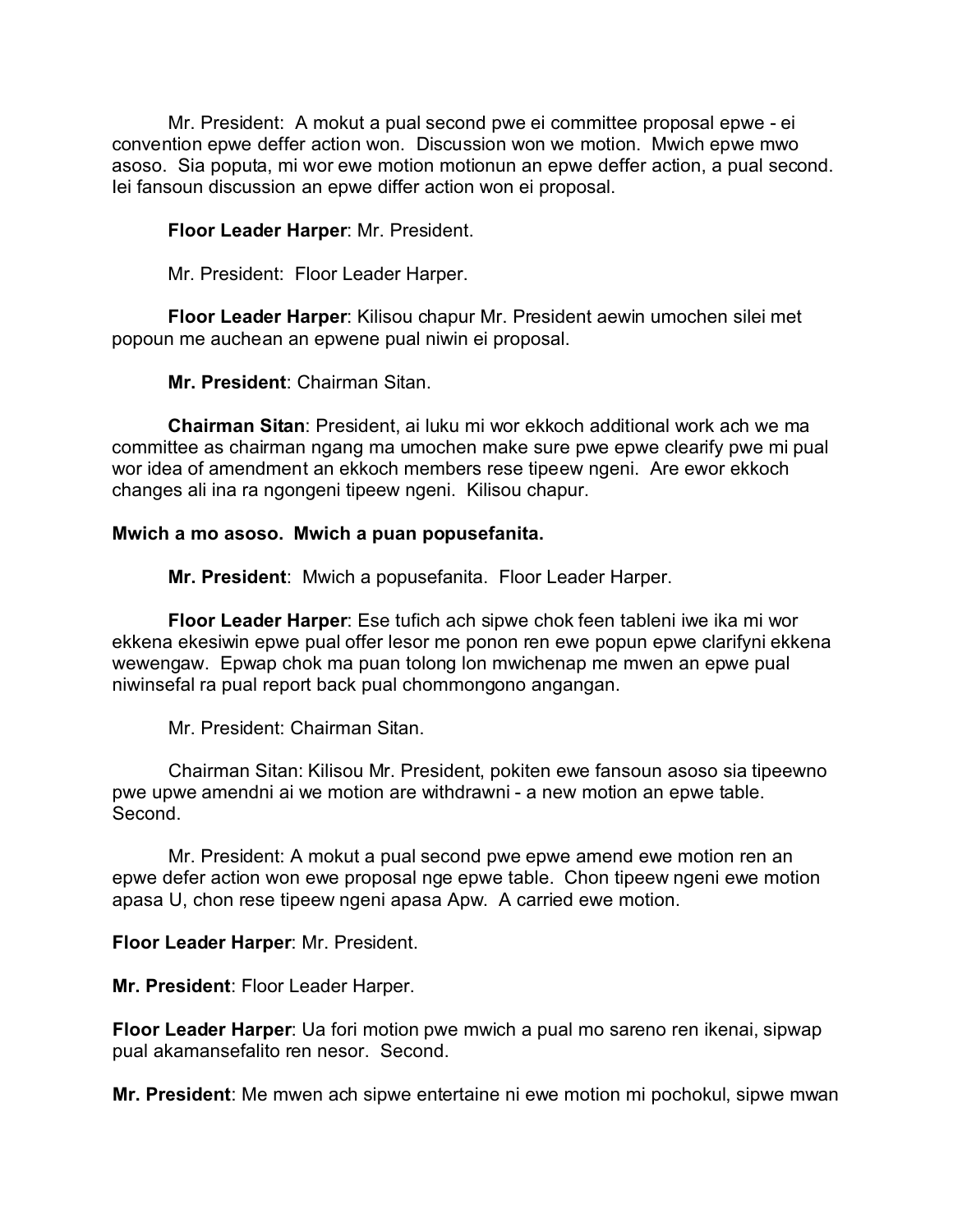Mr. President: A mokut a pual second pwe ei committee proposal epwe - ei convention epwe deffer action won. Discussion won we motion. Mwich epwe mwo asoso. Sia poputa, mi wor ewe motion motionun an epwe deffer action, a pual second. Iei fansoun discussion an epwe differ action won ei proposal.

# **Floor Leader Harper**: Mr. President.

Mr. President: Floor Leader Harper.

**Floor Leader Harper**: Kilisou chapur Mr. President aewin umochen silei met popoun me auchean an epwene pual niwin ei proposal.

**Mr. President**: Chairman Sitan.

**Chairman Sitan**: President, ai luku mi wor ekkoch additional work ach we ma committee as chairman ngang ma umochen make sure pwe epwe clearify pwe mi pual wor idea of amendment an ekkoch members rese tipeew ngeni. Are ewor ekkoch changes ali ina ra ngongeni tipeew ngeni. Kilisou chapur.

#### **Mwich a mo asoso. Mwich a puan popusefanita.**

**Mr. President**: Mwich a popusefanita. Floor Leader Harper.

**Floor Leader Harper**: Ese tufich ach sipwe chok feen tableni iwe ika mi wor ekkena ekesiwin epwe pual offer lesor me ponon ren ewe popun epwe clarifyni ekkena wewengaw. Epwap chok ma puan tolong lon mwichenap me mwen an epwe pual niwinsefal ra pual report back pual chommongono angangan.

Mr. President: Chairman Sitan.

Chairman Sitan: Kilisou Mr. President, pokiten ewe fansoun asoso sia tipeewno pwe upwe amendni ai we motion are withdrawni - a new motion an epwe table. Second.

Mr. President: A mokut a pual second pwe epwe amend ewe motion ren an epwe defer action won ewe proposal nge epwe table. Chon tipeew ngeni ewe motion apasa U, chon rese tipeew ngeni apasa Apw. A carried ewe motion.

**Floor Leader Harper**: Mr. President.

**Mr. President**: Floor Leader Harper.

**Floor Leader Harper**: Ua fori motion pwe mwich a pual mo sareno ren ikenai, sipwap pual akamansefalito ren nesor. Second.

**Mr. President**: Me mwen ach sipwe entertaine ni ewe motion mi pochokul, sipwe mwan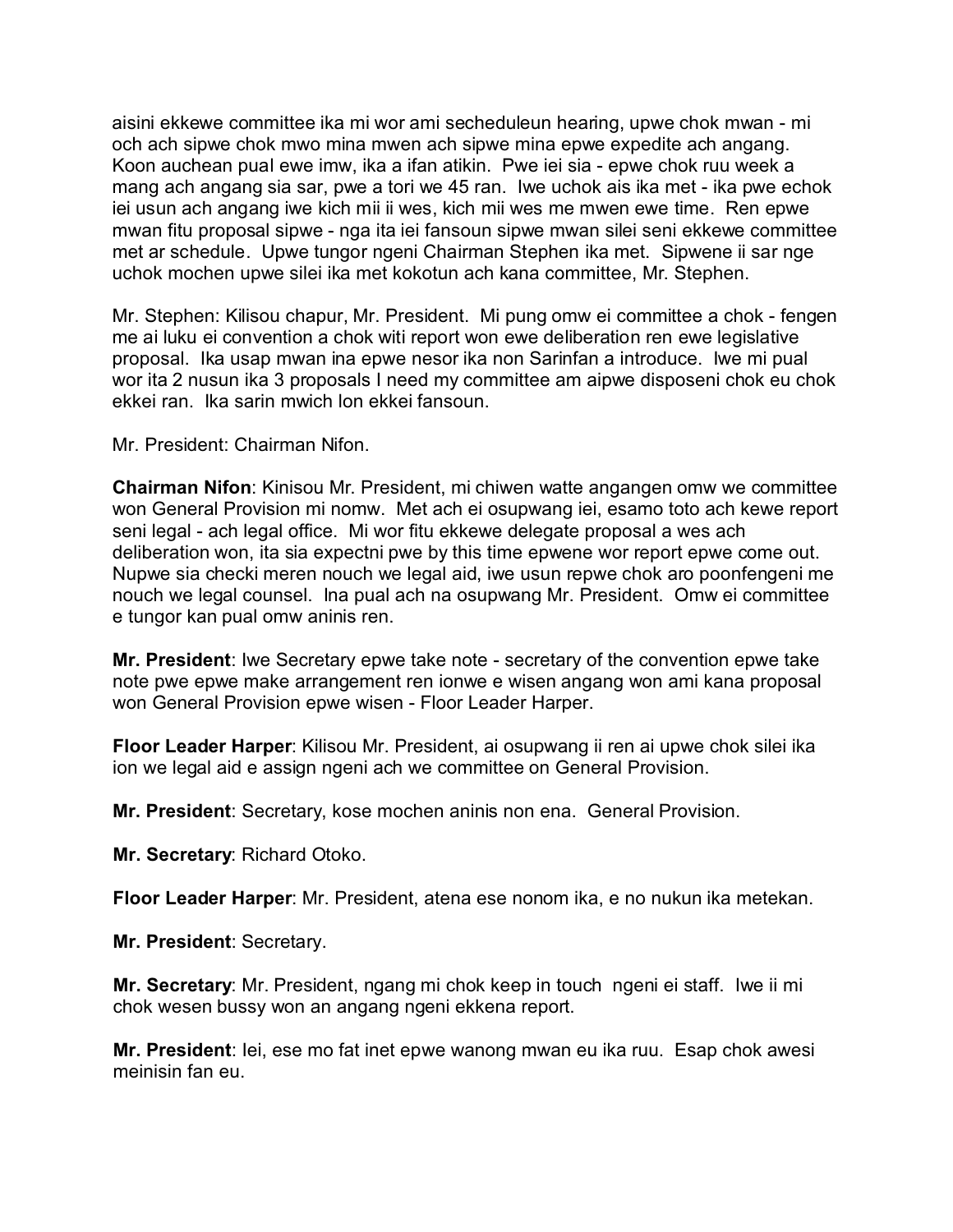aisini ekkewe committee ika mi wor ami secheduleun hearing, upwe chok mwan - mi och ach sipwe chok mwo mina mwen ach sipwe mina epwe expedite ach angang. Koon auchean pual ewe imw, ika a ifan atikin. Pwe iei sia - epwe chok ruu week a mang ach angang sia sar, pwe a tori we 45 ran. Iwe uchok ais ika met - ika pwe echok iei usun ach angang iwe kich mii ii wes, kich mii wes me mwen ewe time. Ren epwe mwan fitu proposal sipwe - nga ita iei fansoun sipwe mwan silei seni ekkewe committee met ar schedule. Upwe tungor ngeni Chairman Stephen ika met. Sipwene ii sar nge uchok mochen upwe silei ika met kokotun ach kana committee, Mr. Stephen.

Mr. Stephen: Kilisou chapur, Mr. President. Mi pung omw ei committee a chok - fengen me ai luku ei convention a chok witi report won ewe deliberation ren ewe legislative proposal. Ika usap mwan ina epwe nesor ika non Sarinfan a introduce. Iwe mi pual wor ita 2 nusun ika 3 proposals I need my committee am aipwe disposeni chok eu chok ekkei ran. Ika sarin mwich lon ekkei fansoun.

Mr. President: Chairman Nifon.

**Chairman Nifon**: Kinisou Mr. President, mi chiwen watte angangen omw we committee won General Provision mi nomw. Met ach ei osupwang iei, esamo toto ach kewe report seni legal - ach legal office. Mi wor fitu ekkewe delegate proposal a wes ach deliberation won, ita sia expectni pwe by this time epwene wor report epwe come out. Nupwe sia checki meren nouch we legal aid, iwe usun repwe chok aro poonfengeni me nouch we legal counsel. Ina pual ach na osupwang Mr. President. Omw ei committee e tungor kan pual omw aninis ren.

**Mr. President**: Iwe Secretary epwe take note - secretary of the convention epwe take note pwe epwe make arrangement ren ionwe e wisen angang won ami kana proposal won General Provision epwe wisen - Floor Leader Harper.

**Floor Leader Harper**: Kilisou Mr. President, ai osupwang ii ren ai upwe chok silei ika ion we legal aid e assign ngeni ach we committee on General Provision.

**Mr. President**: Secretary, kose mochen aninis non ena. General Provision.

**Mr. Secretary**: Richard Otoko.

**Floor Leader Harper**: Mr. President, atena ese nonom ika, e no nukun ika metekan.

**Mr. President**: Secretary.

**Mr. Secretary**: Mr. President, ngang mi chok keep in touch ngeni ei staff. Iwe ii mi chok wesen bussy won an angang ngeni ekkena report.

**Mr. President**: Iei, ese mo fat inet epwe wanong mwan eu ika ruu. Esap chok awesi meinisin fan eu.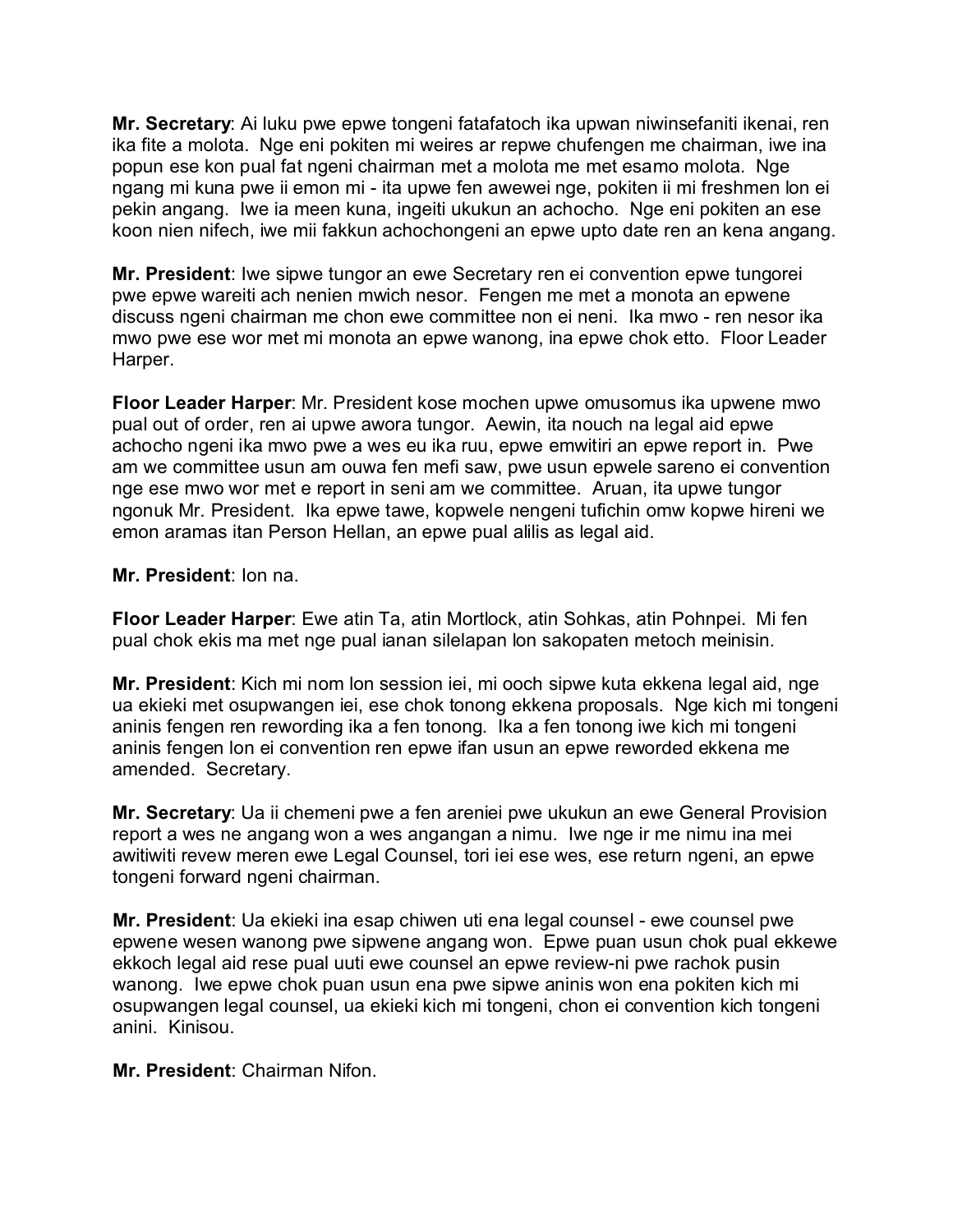**Mr. Secretary**: Ai luku pwe epwe tongeni fatafatoch ika upwan niwinsefaniti ikenai, ren ika fite a molota. Nge eni pokiten mi weires ar repwe chufengen me chairman, iwe ina popun ese kon pual fat ngeni chairman met a molota me met esamo molota. Nge ngang mi kuna pwe ii emon mi - ita upwe fen awewei nge, pokiten ii mi freshmen lon ei pekin angang. Iwe ia meen kuna, ingeiti ukukun an achocho. Nge eni pokiten an ese koon nien nifech, iwe mii fakkun achochongeni an epwe upto date ren an kena angang.

**Mr. President**: Iwe sipwe tungor an ewe Secretary ren ei convention epwe tungorei pwe epwe wareiti ach nenien mwich nesor. Fengen me met a monota an epwene discuss ngeni chairman me chon ewe committee non ei neni. Ika mwo - ren nesor ika mwo pwe ese wor met mi monota an epwe wanong, ina epwe chok etto. Floor Leader Harper.

**Floor Leader Harper**: Mr. President kose mochen upwe omusomus ika upwene mwo pual out of order, ren ai upwe awora tungor. Aewin, ita nouch na legal aid epwe achocho ngeni ika mwo pwe a wes eu ika ruu, epwe emwitiri an epwe report in. Pwe am we committee usun am ouwa fen mefi saw, pwe usun epwele sareno ei convention nge ese mwo wor met e report in seni am we committee. Aruan, ita upwe tungor ngonuk Mr. President. Ika epwe tawe, kopwele nengeni tufichin omw kopwe hireni we emon aramas itan Person Hellan, an epwe pual alilis as legal aid.

# **Mr. President**: Ion na.

**Floor Leader Harper**: Ewe atin Ta, atin Mortlock, atin Sohkas, atin Pohnpei. Mi fen pual chok ekis ma met nge pual ianan silelapan lon sakopaten metoch meinisin.

**Mr. President**: Kich mi nom lon session iei, mi ooch sipwe kuta ekkena legal aid, nge ua ekieki met osupwangen iei, ese chok tonong ekkena proposals. Nge kich mi tongeni aninis fengen ren rewording ika a fen tonong. Ika a fen tonong iwe kich mi tongeni aninis fengen lon ei convention ren epwe ifan usun an epwe reworded ekkena me amended. Secretary.

**Mr. Secretary**: Ua ii chemeni pwe a fen areniei pwe ukukun an ewe General Provision report a wes ne angang won a wes angangan a nimu. Iwe nge ir me nimu ina mei awitiwiti revew meren ewe Legal Counsel, tori iei ese wes, ese return ngeni, an epwe tongeni forward ngeni chairman.

**Mr. President**: Ua ekieki ina esap chiwen uti ena legal counsel - ewe counsel pwe epwene wesen wanong pwe sipwene angang won. Epwe puan usun chok pual ekkewe ekkoch legal aid rese pual uuti ewe counsel an epwe review-ni pwe rachok pusin wanong. Iwe epwe chok puan usun ena pwe sipwe aninis won ena pokiten kich mi osupwangen legal counsel, ua ekieki kich mi tongeni, chon ei convention kich tongeni anini. Kinisou.

# **Mr. President**: Chairman Nifon.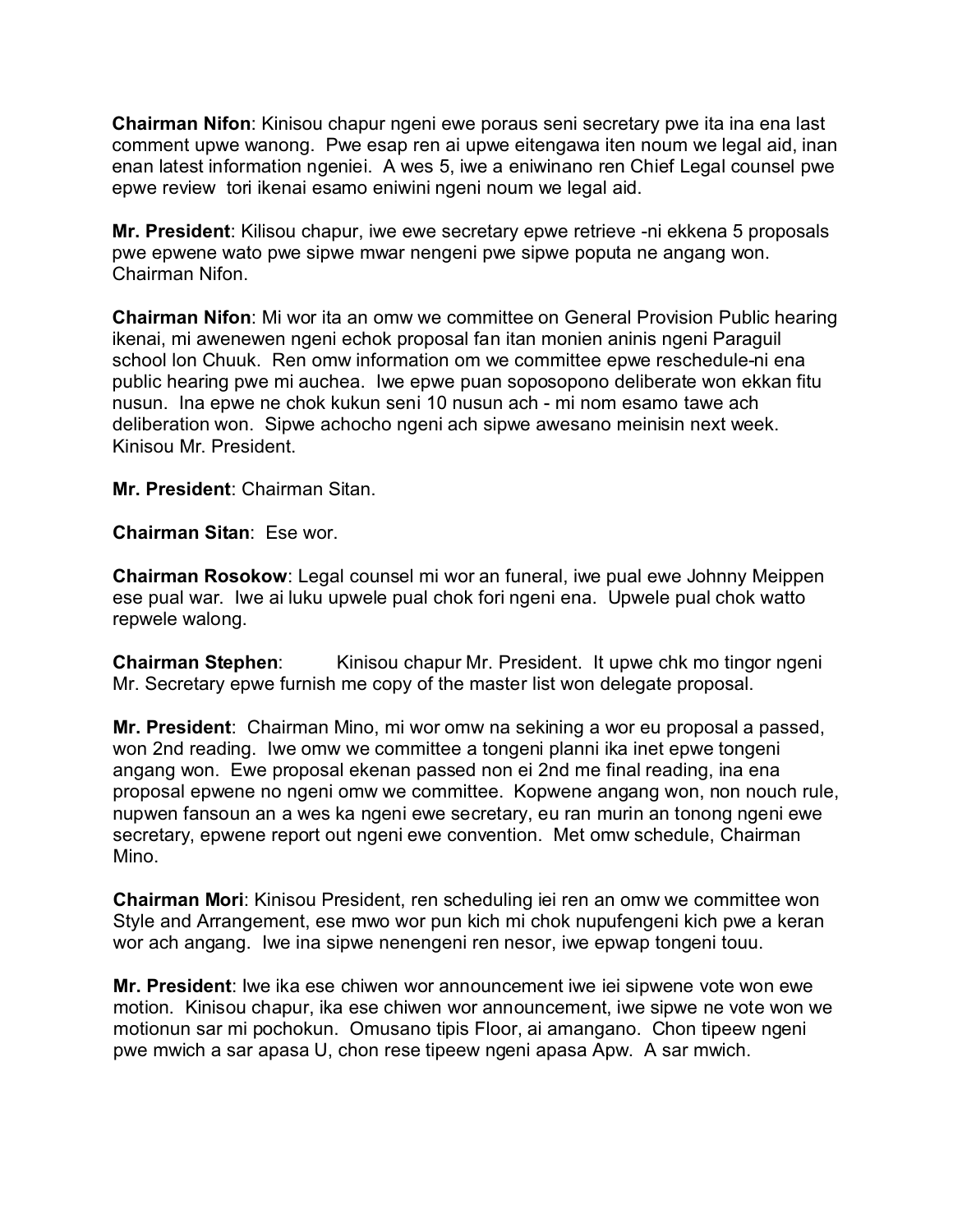**Chairman Nifon**: Kinisou chapur ngeni ewe poraus seni secretary pwe ita ina ena last comment upwe wanong. Pwe esap ren ai upwe eitengawa iten noum we legal aid, inan enan latest information ngeniei. A wes 5, iwe a eniwinano ren Chief Legal counsel pwe epwe review tori ikenai esamo eniwini ngeni noum we legal aid.

**Mr. President**: Kilisou chapur, iwe ewe secretary epwe retrieve -ni ekkena 5 proposals pwe epwene wato pwe sipwe mwar nengeni pwe sipwe poputa ne angang won. Chairman Nifon.

**Chairman Nifon**: Mi wor ita an omw we committee on General Provision Public hearing ikenai, mi awenewen ngeni echok proposal fan itan monien aninis ngeni Paraguil school lon Chuuk. Ren omw information om we committee epwe reschedule-ni ena public hearing pwe mi auchea. Iwe epwe puan soposopono deliberate won ekkan fitu nusun. Ina epwe ne chok kukun seni 10 nusun ach - mi nom esamo tawe ach deliberation won. Sipwe achocho ngeni ach sipwe awesano meinisin next week. Kinisou Mr. President.

**Mr. President**: Chairman Sitan.

**Chairman Sitan**: Ese wor.

**Chairman Rosokow**: Legal counsel mi wor an funeral, iwe pual ewe Johnny Meippen ese pual war. Iwe ai luku upwele pual chok fori ngeni ena. Upwele pual chok watto repwele walong.

**Chairman Stephen:** Kinisou chapur Mr. President. It upwe chk mo tingor ngeni Mr. Secretary epwe furnish me copy of the master list won delegate proposal.

**Mr. President**: Chairman Mino, mi wor omw na sekining a wor eu proposal a passed, won 2nd reading. Iwe omw we committee a tongeni planni ika inet epwe tongeni angang won. Ewe proposal ekenan passed non ei 2nd me final reading, ina ena proposal epwene no ngeni omw we committee. Kopwene angang won, non nouch rule, nupwen fansoun an a wes ka ngeni ewe secretary, eu ran murin an tonong ngeni ewe secretary, epwene report out ngeni ewe convention. Met omw schedule, Chairman Mino.

**Chairman Mori**: Kinisou President, ren scheduling iei ren an omw we committee won Style and Arrangement, ese mwo wor pun kich mi chok nupufengeni kich pwe a keran wor ach angang. Iwe ina sipwe nenengeni ren nesor, iwe epwap tongeni touu.

**Mr. President**: Iwe ika ese chiwen wor announcement iwe iei sipwene vote won ewe motion. Kinisou chapur, ika ese chiwen wor announcement, iwe sipwe ne vote won we motionun sar mi pochokun. Omusano tipis Floor, ai amangano. Chon tipeew ngeni pwe mwich a sar apasa U, chon rese tipeew ngeni apasa Apw. A sar mwich.